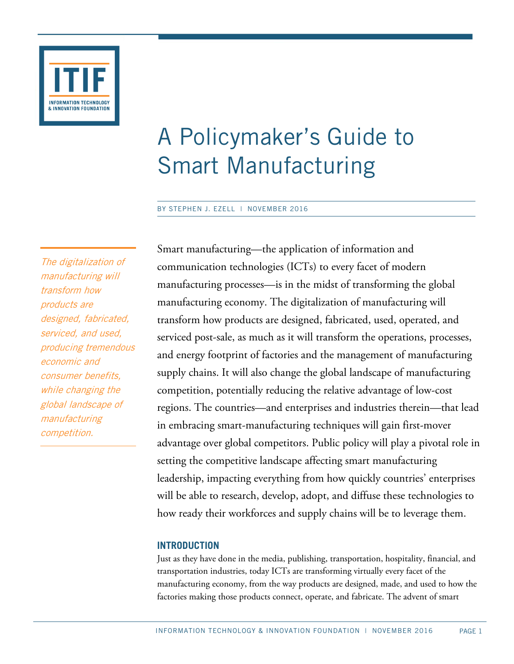

# A Policymaker's Guide to Smart Manufacturing

#### BY STEPHEN J. EZELL | NOVEMBER 2016

The digitalization of manufacturing will transform how products are designed, fabricated, serviced, and used, producing tremendous economic and consumer benefits, while changing the global landscape of manufacturing competition.

Smart manufacturing—the application of information and communication technologies (ICTs) to every facet of modern manufacturing processes—is in the midst of transforming the global manufacturing economy. The digitalization of manufacturing will transform how products are designed, fabricated, used, operated, and serviced post-sale, as much as it will transform the operations, processes, and energy footprint of factories and the management of manufacturing supply chains. It will also change the global landscape of manufacturing competition, potentially reducing the relative advantage of low-cost regions. The countries—and enterprises and industries therein—that lead in embracing smart-manufacturing techniques will gain first-mover advantage over global competitors. Public policy will play a pivotal role in setting the competitive landscape affecting smart manufacturing leadership, impacting everything from how quickly countries' enterprises will be able to research, develop, adopt, and diffuse these technologies to how ready their workforces and supply chains will be to leverage them.

# **INTRODUCTION**

Just as they have done in the media, publishing, transportation, hospitality, financial, and transportation industries, today ICTs are transforming virtually every facet of the manufacturing economy, from the way products are designed, made, and used to how the factories making those products connect, operate, and fabricate. The advent of smart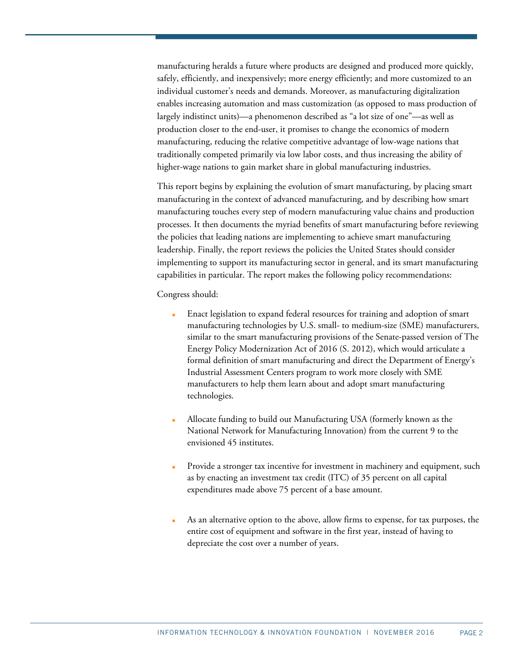manufacturing heralds a future where products are designed and produced more quickly, safely, efficiently, and inexpensively; more energy efficiently; and more customized to an individual customer's needs and demands. Moreover, as manufacturing digitalization enables increasing automation and mass customization (as opposed to mass production of largely indistinct units)—a phenomenon described as "a lot size of one"—as well as production closer to the end-user, it promises to change the economics of modern manufacturing, reducing the relative competitive advantage of low-wage nations that traditionally competed primarily via low labor costs, and thus increasing the ability of higher-wage nations to gain market share in global manufacturing industries.

This report begins by explaining the evolution of smart manufacturing, by placing smart manufacturing in the context of advanced manufacturing, and by describing how smart manufacturing touches every step of modern manufacturing value chains and production processes. It then documents the myriad benefits of smart manufacturing before reviewing the policies that leading nations are implementing to achieve smart manufacturing leadership. Finally, the report reviews the policies the United States should consider implementing to support its manufacturing sector in general, and its smart manufacturing capabilities in particular. The report makes the following policy recommendations:

Congress should:

- Enact legislation to expand federal resources for training and adoption of smart manufacturing technologies by U.S. small- to medium-size (SME) manufacturers, similar to the smart manufacturing provisions of the Senate-passed version of The Energy Policy Modernization Act of 2016 (S. 2012), which would articulate a formal definition of smart manufacturing and direct the Department of Energy's Industrial Assessment Centers program to work more closely with SME manufacturers to help them learn about and adopt smart manufacturing technologies.
- Allocate funding to build out Manufacturing USA (formerly known as the National Network for Manufacturing Innovation) from the current 9 to the envisioned 45 institutes.
- Provide a stronger tax incentive for investment in machinery and equipment, such as by enacting an investment tax credit (ITC) of 35 percent on all capital expenditures made above 75 percent of a base amount.
- As an alternative option to the above, allow firms to expense, for tax purposes, the entire cost of equipment and software in the first year, instead of having to depreciate the cost over a number of years.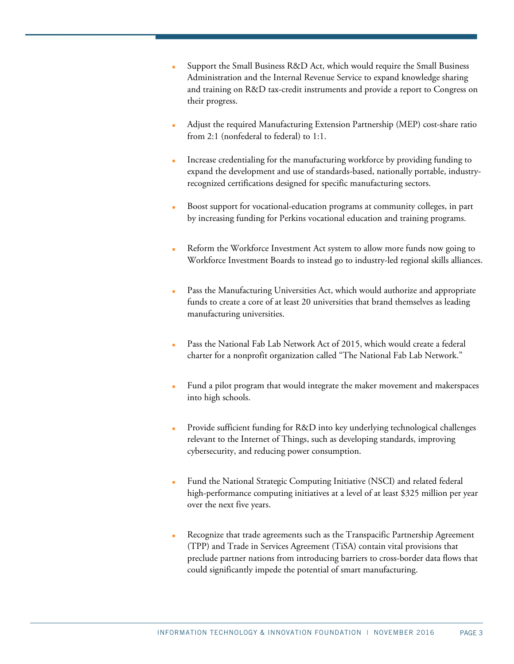- Support the Small Business R&D Act, which would require the Small Business Administration and the Internal Revenue Service to expand knowledge sharing and training on R&D tax-credit instruments and provide a report to Congress on their progress.
- Adjust the required Manufacturing Extension Partnership (MEP) cost-share ratio from 2:1 (nonfederal to federal) to 1:1.
- Increase credentialing for the manufacturing workforce by providing funding to expand the development and use of standards-based, nationally portable, industryrecognized certifications designed for specific manufacturing sectors.
- Boost support for vocational-education programs at community colleges, in part by increasing funding for Perkins vocational education and training programs.
- Reform the Workforce Investment Act system to allow more funds now going to Workforce Investment Boards to instead go to industry-led regional skills alliances.
- Pass the Manufacturing Universities Act, which would authorize and appropriate funds to create a core of at least 20 universities that brand themselves as leading manufacturing universities.
- Pass the National Fab Lab Network Act of 2015, which would create a federal charter for a nonprofit organization called "The National Fab Lab Network."
- Fund a pilot program that would integrate the maker movement and makerspaces into high schools.
- Provide sufficient funding for R&D into key underlying technological challenges relevant to the Internet of Things, such as developing standards, improving cybersecurity, and reducing power consumption.
- Fund the National Strategic Computing Initiative (NSCI) and related federal high-performance computing initiatives at a level of at least \$325 million per year over the next five years.
- Recognize that trade agreements such as the Transpacific Partnership Agreement (TPP) and Trade in Services Agreement (TiSA) contain vital provisions that preclude partner nations from introducing barriers to cross-border data flows that could significantly impede the potential of smart manufacturing.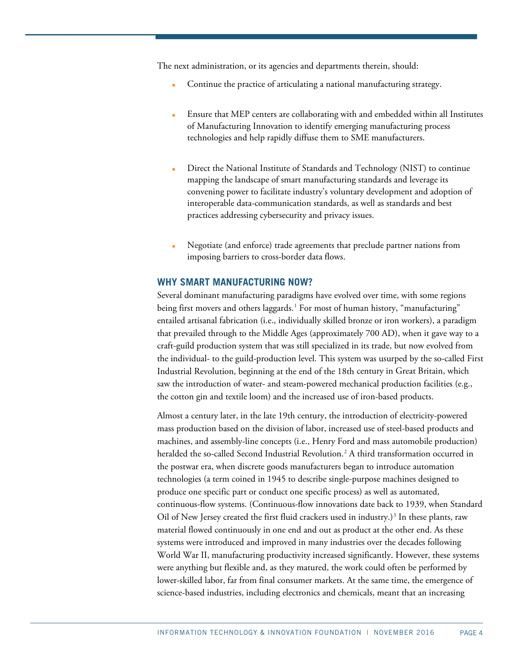The next administration, or its agencies and departments therein, should:

- Continue the practice of articulating a national manufacturing strategy.
- Ensure that MEP centers are collaborating with and embedded within all Institutes of Manufacturing Innovation to identify emerging manufacturing process technologies and help rapidly diffuse them to SME manufacturers.
- Direct the National Institute of Standards and Technology (NIST) to continue mapping the landscape of smart manufacturing standards and leverage its convening power to facilitate industry's voluntary development and adoption of interoperable data-communication standards, as well as standards and best practices addressing cybersecurity and privacy issues.
- Negotiate (and enforce) trade agreements that preclude partner nations from imposing barriers to cross-border data flows.

#### **WHY SMART MANUFACTURING NOW?**

Several dominant manufacturing paradigms have evolved over time, with some regions being first movers and others laggards.<sup>[1](#page-34-0)</sup> For most of human history, "manufacturing" entailed artisanal fabrication (i.e., individually skilled bronze or iron workers), a paradigm that prevailed through to the Middle Ages (approximately 700 AD), when it gave way to a craft-guild production system that was still specialized in its trade, but now evolved from the individual- to the guild-production level. This system was usurped by the so-called First Industrial Revolution, beginning at the end of the 18th century in Great Britain, which saw the introduction of water- and steam-powered mechanical production facilities (e.g., the cotton gin and textile loom) and the increased use of iron-based products.

Almost a century later, in the late 19th century, the introduction of electricity-powered mass production based on the division of labor, increased use of steel-based products and machines, and assembly-line concepts (i.e., Henry Ford and mass automobile production) heralded the so-called Second Industrial Revolution.<sup>[2](#page-34-1)</sup> A third transformation occurred in the postwar era, when discrete goods manufacturers began to introduce automation technologies (a term coined in 1945 to describe single-purpose machines designed to produce one specific part or conduct one specific process) as well as automated, continuous-flow systems. (Continuous-flow innovations date back to 1939, when Standard Oil of New Jersey created the first fluid crackers used in industry.) [3](#page-34-2) In these plants, raw material flowed continuously in one end and out as product at the other end. As these systems were introduced and improved in many industries over the decades following World War II, manufacturing productivity increased significantly. However, these systems were anything but flexible and, as they matured, the work could often be performed by lower-skilled labor, far from final consumer markets. At the same time, the emergence of science-based industries, including electronics and chemicals, meant that an increasing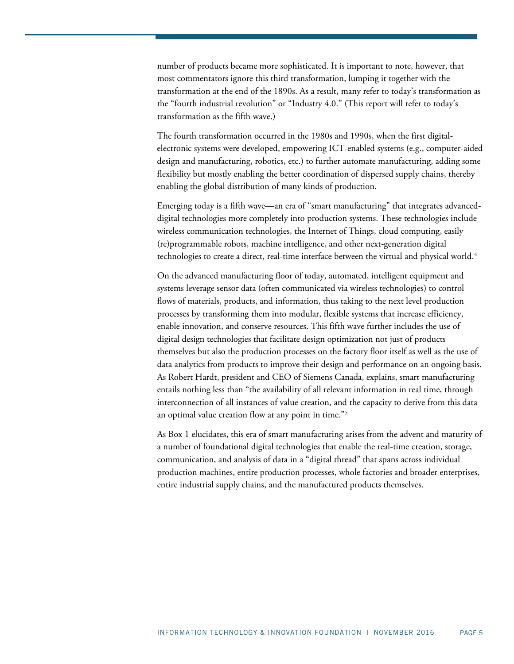number of products became more sophisticated. It is important to note, however, that most commentators ignore this third transformation, lumping it together with the transformation at the end of the 1890s. As a result, many refer to today's transformation as the "fourth industrial revolution" or "Industry 4.0." (This report will refer to today's transformation as the fifth wave.)

The fourth transformation occurred in the 1980s and 1990s, when the first digitalelectronic systems were developed, empowering ICT-enabled systems (e.g., computer-aided design and manufacturing, robotics, etc.) to further automate manufacturing, adding some flexibility but mostly enabling the better coordination of dispersed supply chains, thereby enabling the global distribution of many kinds of production.

Emerging today is a fifth wave—an era of "smart manufacturing" that integrates advanceddigital technologies more completely into production systems. These technologies include wireless communication technologies, the Internet of Things, cloud computing, easily (re)programmable robots, machine intelligence, and other next-generation digital technologies to create a direct, real-time interface between the virtual and physical world. [4](#page-34-3)

On the advanced manufacturing floor of today, automated, intelligent equipment and systems leverage sensor data (often communicated via wireless technologies) to control flows of materials, products, and information, thus taking to the next level production processes by transforming them into modular, flexible systems that increase efficiency, enable innovation, and conserve resources. This fifth wave further includes the use of digital design technologies that facilitate design optimization not just of products themselves but also the production processes on the factory floor itself as well as the use of data analytics from products to improve their design and performance on an ongoing basis. As Robert Hardt, president and CEO of Siemens Canada, [explains,](https://www.siemens.ca/web/portal/en/NewsEvents/Siemens-Canada-News/Pages/Isitworthourwhiletoinvestinmanufacturing.aspx) smart manufacturing entails nothing less than "the availability of all relevant information in real time, through interconnection of all instances of value creation, and the capacity to derive from this data an optimal value creation flow at any point in time."[5](#page-34-4)

As Box 1 elucidates, this era of smart manufacturing arises from the advent and maturity of a number of foundational digital technologies that enable the real-time creation, storage, communication, and analysis of data in a "digital thread" that spans across individual production machines, entire production processes, whole factories and broader enterprises, entire industrial supply chains, and the manufactured products themselves.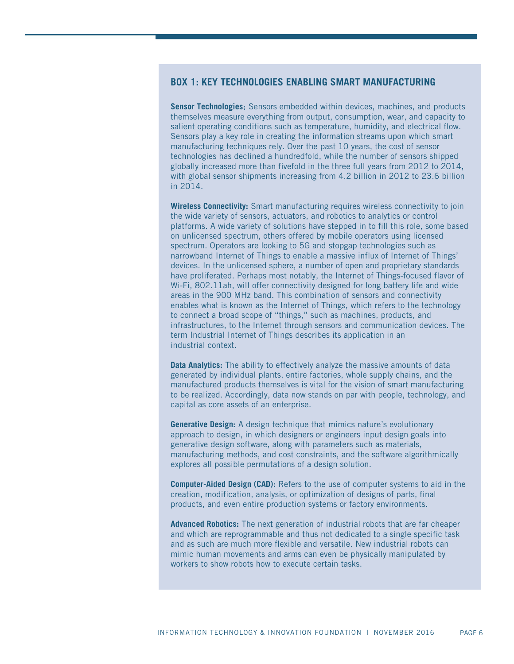## **BOX 1: KEY TECHNOLOGIES ENABLING SMART MANUFACTURING**

**Sensor Technologies**: Sensors embedded within devices, machines, and products themselves measure everything from output, consumption, wear, and capacity to salient operating conditions such as temperature, humidity, and electrical flow. Sensors play a key role in creating the information streams upon which smart manufacturing techniques rely. Over the past 10 years, the cost of sensor technologies has declined a hundredfold, while the number of sensors shipped globally increased more than fivefold in the three full years from 2012 to 2014, with global sensor shipments increasing from 4.2 billion in 2012 to 23.6 billion in 2014.

**Wireless Connectivity:** Smart manufacturing requires wireless connectivity to join the wide variety of sensors, actuators, and robotics to analytics or control platforms. A wide variety of solutions have stepped in to fill this role, some based on unlicensed spectrum, others offered by mobile operators using licensed spectrum. Operators are looking to 5G and stopgap technologies such as narrowband Internet of Things to enable a massive influx of Internet of Things' devices. In the unlicensed sphere, a number of open and proprietary standards have proliferated. Perhaps most notably, the Internet of Things-focused flavor of Wi-Fi, 802.11ah, will offer connectivity designed for long battery life and wide areas in the 900 MHz band. This combination of sensors and connectivity enables what is known as the Internet of Things, which refers to the technology to connect a broad scope of "things," such as machines, products, and infrastructures, to the Internet through sensors and communication devices. The term Industrial Internet of Things describes its application in an industrial context.

**Data Analytics:** The ability to effectively analyze the massive amounts of data generated by individual plants, entire factories, whole supply chains, and the manufactured products themselves is vital for the vision of smart manufacturing to be realized. Accordingly, data now stands on par with people, technology, and capital as core assets of an enterprise.

**Generative Design:** A design technique that mimics nature's evolutionary approach to design, in which designers or engineers input design goals into generative design software, along with parameters such as materials, manufacturing methods, and cost constraints, and the software algorithmically explores all possible permutations of a design solution.

**Computer-Aided Design (CAD):** Refers to the use of computer systems to aid in the creation, modification, analysis, or optimization of designs of parts, final products, and even entire production systems or factory environments.

**Advanced Robotics:** The next generation of industrial robots that are far cheaper and which are reprogrammable and thus not dedicated to a single specific task and as such are much more flexible and versatile. New industrial robots can mimic human movements and arms can even be physically manipulated by workers to show robots how to execute certain tasks.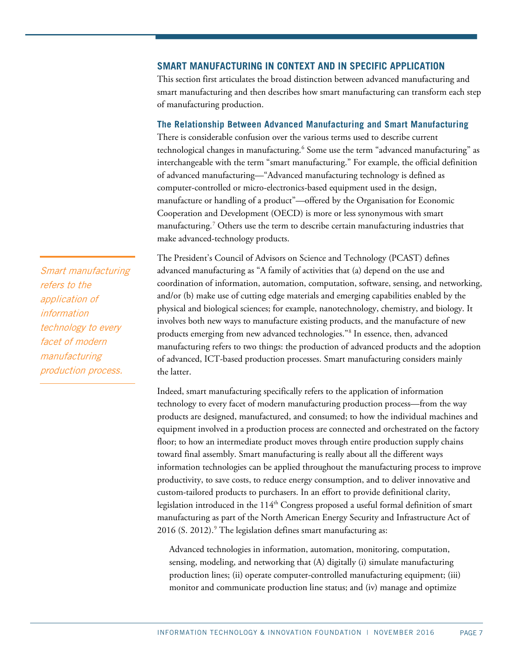## **SMART MANUFACTURING IN CONTEXT AND IN SPECIFIC APPLICATION**

This section first articulates the broad distinction between advanced manufacturing and smart manufacturing and then describes how smart manufacturing can transform each step of manufacturing production.

#### **The Relationship Between Advanced Manufacturing and Smart Manufacturing**

There is considerable confusion over the various terms used to describe current technological changes in manufacturing.<sup>[6](#page-34-5)</sup> Some use the term "advanced manufacturing" as interchangeable with the term "smart manufacturing." For example, the official definition of advanced manufacturing—"Advanced manufacturing technology is defined as computer-controlled or micro-electronics-based equipment used in the design, manufacture or handling of a product"—offered by the Organisation for Economic Cooperation and Development (OECD) is more or less synonymous with smart manufacturing. [7](#page-34-6) Others use the term to describe certain manufacturing industries that make advanced-technology products.

The President's Council of Advisors on Science and Technology (PCAST) defines advanced manufacturing as "A family of activities that (a) depend on the use and coordination of information, automation, computation, software, sensing, and networking, and/or (b) make use of cutting edge materials and emerging capabilities enabled by the physical and biological sciences; for example, nanotechnology, chemistry, and biology. It involves both new ways to manufacture existing products, and the manufacture of new products emerging from new advanced technologies.["8](#page-34-7) In essence, then, advanced manufacturing refers to two things: the production of advanced products and the adoption of advanced, ICT-based production processes. Smart manufacturing considers mainly the latter.

Indeed, smart manufacturing specifically refers to the application of information technology to every facet of modern manufacturing production process—from the way products are designed, manufactured, and consumed; to how the individual machines and equipment involved in a production process are connected and orchestrated on the factory floor; to how an intermediate product moves through entire production supply chains toward final assembly. Smart manufacturing is really about all the different ways information technologies can be applied throughout the manufacturing process to improve productivity, to save costs, to reduce energy consumption, and to deliver innovative and custom-tailored products to purchasers. In an effort to provide definitional clarity, legislation introduced in the  $114<sup>th</sup>$  Congress proposed a useful formal definition of smart manufacturing as part of the North American Energy Security and Infrastructure Act of  $2016$  (S. 2012).<sup>[9](#page-34-8)</sup> The legislation defines smart manufacturing as:

Advanced technologies in information, automation, monitoring, computation, sensing, modeling, and networking that (A) digitally (i) simulate manufacturing production lines; (ii) operate computer-controlled manufacturing equipment; (iii) monitor and communicate production line status; and (iv) manage and optimize

Smart manufacturing refers to the application of information technology to every facet of modern manufacturing production process.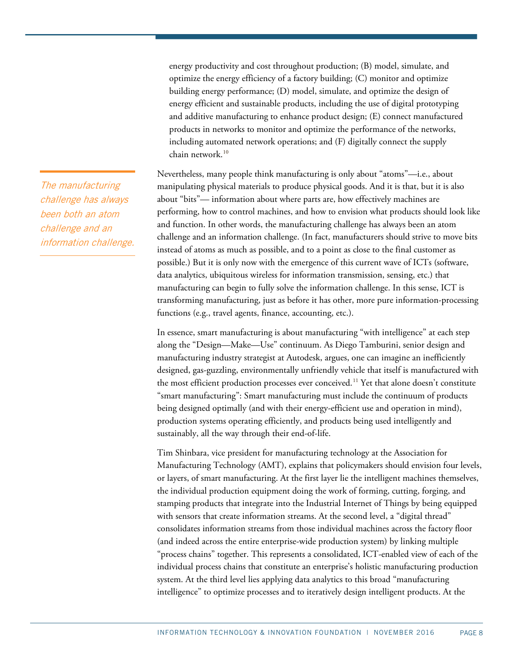energy productivity and cost throughout production; (B) model, simulate, and optimize the energy efficiency of a factory building; (C) monitor and optimize building energy performance; (D) model, simulate, and optimize the design of energy efficient and sustainable products, including the use of digital prototyping and additive manufacturing to enhance product design; (E) connect manufactured products in networks to monitor and optimize the performance of the networks, including automated network operations; and (F) digitally connect the supply chain network.[10](#page-34-9)

Nevertheless, many people think manufacturing is only about "atoms"—i.e., about manipulating physical materials to produce physical goods. And it is that, but it is also about "bits"— information about where parts are, how effectively machines are performing, how to control machines, and how to envision what products should look like and function. In other words, the manufacturing challenge has always been an atom challenge and an information challenge. (In fact, manufacturers should strive to move bits instead of atoms as much as possible, and to a point as close to the final customer as possible.) But it is only now with the emergence of this current wave of ICTs (software, data analytics, ubiquitous wireless for information transmission, sensing, etc.) that manufacturing can begin to fully solve the information challenge. In this sense, ICT is transforming manufacturing, just as before it has other, more pure information-processing functions (e.g., travel agents, finance, accounting, etc.).

In essence, smart manufacturing is about manufacturing "with intelligence" at each step along the "Design—Make—Use" continuum. As Diego Tamburini, senior design and manufacturing industry strategist at Autodesk, argues, one can imagine an inefficiently designed, gas-guzzling, environmentally unfriendly vehicle that itself is manufactured with the most efficient production processes ever conceived.<sup>[11](#page-34-10)</sup> Yet that alone doesn't constitute "smart manufacturing": Smart manufacturing must include the continuum of products being designed optimally (and with their energy-efficient use and operation in mind), production systems operating efficiently, and products being used intelligently and sustainably, all the way through their end-of-life.

Tim Shinbara, vice president for manufacturing technology at the Association for Manufacturing Technology (AMT), explains that policymakers should envision four levels, or layers, of smart manufacturing. At the first layer lie the intelligent machines themselves, the individual production equipment doing the work of forming, cutting, forging, and stamping products that integrate into the Industrial Internet of Things by being equipped with sensors that create information streams. At the second level, a "digital thread" consolidates information streams from those individual machines across the factory floor (and indeed across the entire enterprise-wide production system) by linking multiple "process chains" together. This represents a consolidated, ICT-enabled view of each of the individual process chains that constitute an enterprise's holistic manufacturing production system. At the third level lies applying data analytics to this broad "manufacturing intelligence" to optimize processes and to iteratively design intelligent products. At the

The manufacturing challenge has always been both an atom challenge and an information challenge.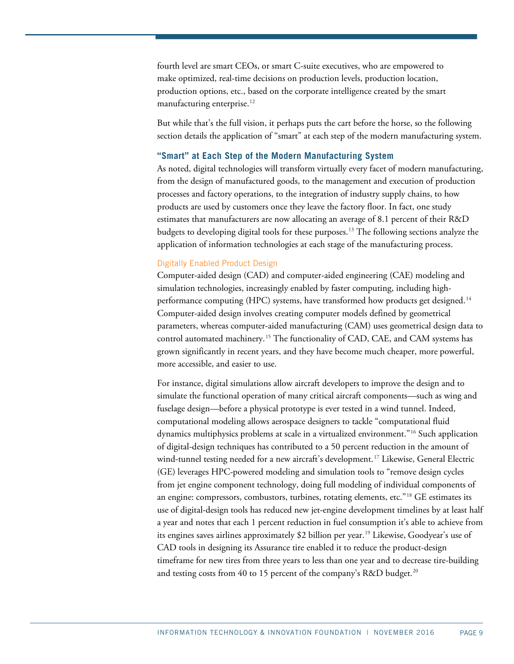fourth level are smart CEOs, or smart C-suite executives, who are empowered to make optimized, real-time decisions on production levels, production location, production options, etc., based on the corporate intelligence created by the smart manufacturing enterprise.<sup>[12](#page-34-11)</sup>

But while that's the full vision, it perhaps puts the cart before the horse, so the following section details the application of "smart" at each step of the modern manufacturing system.

#### **"Smart" at Each Step of the Modern Manufacturing System**

As noted, digital technologies will transform virtually every facet of modern manufacturing, from the design of manufactured goods, to the management and execution of production processes and factory operations, to the integration of industry supply chains, to how products are used by customers once they leave the factory floor. In fact, one study estimates that manufacturers are now allocating an average of 8.1 percent of their R&D budgets to developing digital tools for these purposes. [13](#page-34-12) The following sections analyze the application of information technologies at each stage of the manufacturing process.

#### Digitally Enabled Product Design

Computer-aided design (CAD) and computer-aided engineering (CAE) modeling and simulation technologies, increasingly enabled by faster computing, including highperformance computing (HPC) systems, have transformed how products get designed.[14](#page-34-13) Computer-aided design involves creating computer models defined by geometrical parameters, whereas computer-aided manufacturing (CAM) uses geometrical design data to control automated machinery.<sup>[15](#page-34-14)</sup> The functionality of CAD, CAE, and CAM systems has grown significantly in recent years, and they have become much cheaper, more powerful, more accessible, and easier to use.

For instance, digital simulations allow aircraft developers to improve the design and to simulate the functional operation of many critical aircraft components—such as wing and fuselage design—before a physical prototype is ever tested in a wind tunnel. Indeed, computational modeling allows aerospace designers to tackle "computational fluid dynamics multiphysics problems at scale in a virtualized environment."[16](#page-35-0) Such application of digital-design techniques has contributed to a 50 percent reduction in the amount of wind-tunnel testing needed for a new aircraft's development.<sup>[17](#page-35-1)</sup> Likewise, General Electric (GE) leverages HPC-powered modeling and simulation tools to "remove design cycles from jet engine component technology, doing full modeling of individual components of an engine: compressors, combustors, turbines, rotating elements, etc."<sup>[18](#page-35-2)</sup> GE estimates its use of digital-design tools has reduced new jet-engine development timelines by at least half a year and notes that each 1 percent reduction in fuel consumption it's able to achieve from its engines saves airlines approximately \$2 billion per year.<sup>[19](#page-35-3)</sup> Likewise, Goodyear's use of CAD tools in designing its Assurance tire enabled it to reduce the product-design timeframe for new tires from three years to less than one year and to decrease tire-building and testing costs from 40 to 15 percent of the company's R&D budget. $^{20}$  $^{20}$  $^{20}$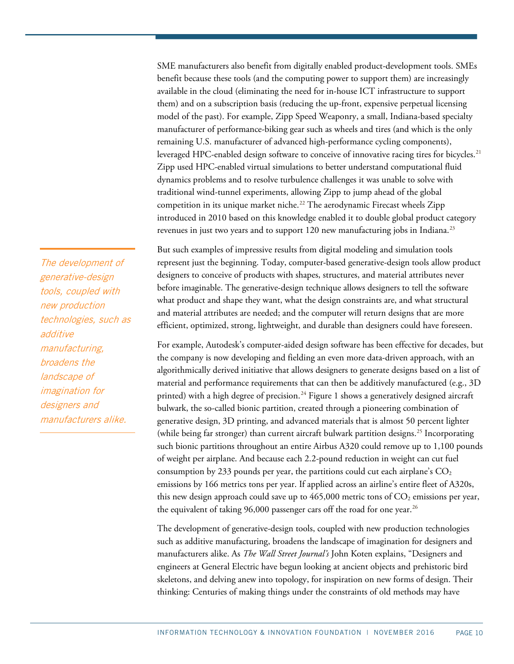SME manufacturers also benefit from digitally enabled product-development tools. SMEs benefit because these tools (and the computing power to support them) are increasingly available in the cloud (eliminating the need for in-house ICT infrastructure to support them) and on a subscription basis (reducing the up-front, expensive perpetual licensing model of the past). For example, Zipp Speed Weaponry, a small, Indiana-based specialty manufacturer of performance-biking gear such as wheels and tires (and which is the only remaining U.S. manufacturer of advanced high-performance cycling components), leveraged HPC-enabled design software to conceive of innovative racing tires for bicycles.<sup>[21](#page-35-5)</sup> Zipp used HPC-enabled virtual simulations to better understand computational fluid dynamics problems and to resolve turbulence challenges it was unable to solve with traditional wind-tunnel experiments, allowing Zipp to jump ahead of the global competition in its unique market niche.<sup>[22](#page-35-6)</sup> The aerodynamic Firecast wheels Zipp introduced in 2010 based on this knowledge enabled it to double global product category revenues in just two years and to support 120 new manufacturing jobs in Indiana.<sup>[23](#page-35-7)</sup>

But such examples of impressive results from digital modeling and simulation tools represent just the beginning. Today, computer-based generative-design tools allow product designers to conceive of products with shapes, structures, and material attributes never before imaginable. The generative-design technique allows designers to tell the software what product and shape they want, what the design constraints are, and what structural and material attributes are needed; and the computer will return designs that are more efficient, optimized, strong, lightweight, and durable than designers could have foreseen.

For example, Autodesk's computer-aided design software has been effective for decades, but the company is now developing and fielding an even more data-driven approach, with an [algorithmically derived](http://www.fastcodesign.com/3029756/why-algorithms-are-the-next-star-designers) initiative that allows designers to generate designs based on a list of material and performance requirements that can then be additively manufactured (e.g., 3D printed) with a high degree of precision.[24](#page-35-8) Figure 1 shows a generatively designed aircraft bulwark, the so-called bionic partition, created through a pioneering combination of generative design, 3D printing, and advanced materials that is almost 50 percent lighter (while being far stronger) than current aircraft bulwark partition designs. [25](#page-35-9) Incorporating such bionic partitions throughout an entire Airbus A320 could remove up to 1,100 pounds of weight per airplane. And because each 2.2-pound reduction in weight can cut fuel consumption by 233 pounds per year, the partitions could cut each airplane's  $CO<sub>2</sub>$ emissions by 166 metrics tons per year. If applied across an airline's entire fleet of A320s, this new design approach could save up to  $465,000$  metric tons of  $CO<sub>2</sub>$  emissions per year, the equivalent of taking  $96,000$  passenger cars off the road for one year.<sup>[26](#page-35-10)</sup>

The development of generative-design tools, coupled with new production technologies such as additive manufacturing, broadens the landscape of imagination for designers and manufacturers alike. As *The Wall Street Journal's* John Koten explains, "Designers and engineers at General Electric have begun looking at ancient objects and prehistoric bird skeletons, and delving anew into topology, for inspiration on new forms of design. Their thinking: Centuries of making things under the constraints of old methods may have

The development of generative-design tools, coupled with new production technologies, such as additive manufacturing, broadens the landscape of imagination for designers and manufacturers alike.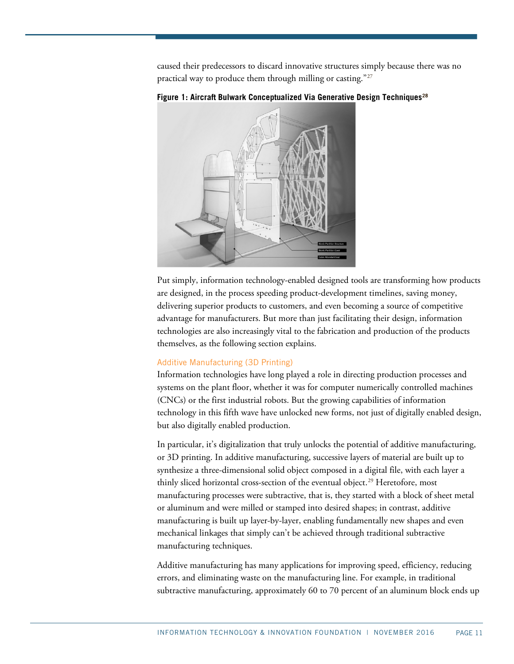caused their predecessors to discard innovative structures simply because there was no practical way to produce them through milling or casting."[27](#page-35-11)



**Figure 1: Aircraft Bulwark Conceptualized Via Generative Design Techniques[28](#page-35-12)**

Put simply, information technology-enabled designed tools are transforming how products are designed, in the process speeding product-development timelines, saving money, delivering superior products to customers, and even becoming a source of competitive advantage for manufacturers. But more than just facilitating their design, information technologies are also increasingly vital to the fabrication and production of the products themselves, as the following section explains.

#### Additive Manufacturing (3D Printing)

Information technologies have long played a role in directing production processes and systems on the plant floor, whether it was for computer numerically controlled machines (CNCs) or the first industrial robots. But the growing capabilities of information technology in this fifth wave have unlocked new forms, not just of digitally enabled design, but also digitally enabled production.

In particular, it's digitalization that truly unlocks the potential of additive manufacturing, or 3D printing. In additive manufacturing, successive layers of material are built up to synthesize a three-dimensional solid object composed in a digital file, with each layer a thinly sliced horizontal cross-section of the eventual object. [29](#page-35-13) Heretofore, most manufacturing processes were subtractive, that is, they started with a block of sheet metal or aluminum and were milled or stamped into desired shapes; in contrast, additive manufacturing is built up layer-by-layer, enabling fundamentally new shapes and even mechanical linkages that simply can't be achieved through traditional subtractive manufacturing techniques.

Additive manufacturing has many applications for improving speed, efficiency, reducing errors, and eliminating waste on the manufacturing line. For example, in traditional subtractive manufacturing, approximately 60 to 70 percent of an aluminum block ends up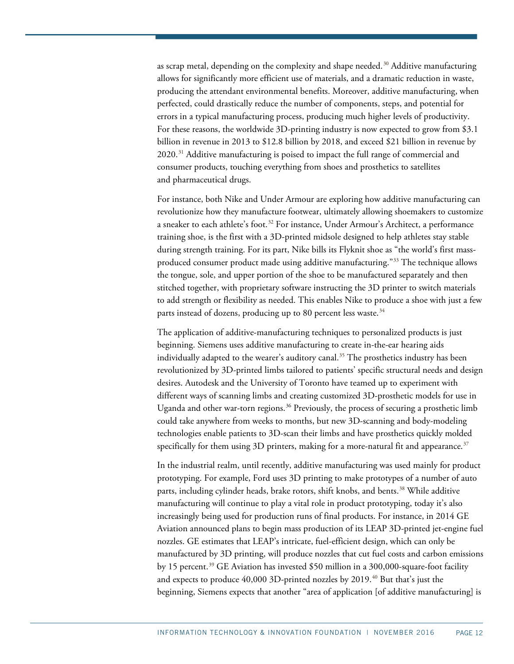as scrap metal, depending on the complexity and shape needed.<sup>[30](#page-35-14)</sup> Additive manufacturing allows for significantly more efficient use of materials, and a dramatic reduction in waste, producing the attendant environmental benefits. Moreover, additive manufacturing, when perfected, could drastically reduce the number of components, steps, and potential for errors in a typical manufacturing process, producing much higher levels of productivity. For these reasons, the worldwide 3D-printing industry is now expected to grow from \$3.1 billion in revenue in 2013 to \$12.8 billion by 2018, and exceed \$21 billion in revenue by 2020.<sup>[31](#page-35-15)</sup> Additive manufacturing is poised to impact the full range of commercial and consumer products, touching everything from shoes and prosthetics to satellites and pharmaceutical drugs.

For instance, both Nike and Under Armour are exploring how additive manufacturing can revolutionize how they manufacture footwear, ultimately allowing shoemakers to customize a sneaker to each athlete's foot.<sup>[32](#page-35-16)</sup> For instance, Under Armour's Architect, a performance training shoe, is the first with a 3D-printed midsole designed to help athletes stay stable during strength training. For its part, Nike bills its Flyknit shoe as "the world's first massproduced consumer product made using additive manufacturing."[33](#page-36-0) The technique allows the tongue, sole, and upper portion of the shoe to be manufactured separately and then stitched together, with proprietary software instructing the 3D printer to switch materials to add strength or flexibility as needed. This enables Nike to produce a shoe with just a few parts instead of dozens, producing up to 80 percent less waste.<sup>[34](#page-36-1)</sup>

The application of additive-manufacturing techniques to personalized products is just beginning. Siemens uses additive manufacturing to create in-the-ear hearing aids individually adapted to the wearer's auditory canal.<sup>[35](#page-36-2)</sup> The prosthetics industry has been revolutionized by 3D-printed limbs tailored to patients' specific structural needs and design desires. Autodesk and the University of Toronto have teamed up to experiment with different ways of scanning limbs and creating customized 3D-prosthetic models for use in Uganda and other war-torn regions.<sup>[36](#page-36-3)</sup> Previously, the process of securing a prosthetic limb could take anywhere from weeks to months, but new 3D-scanning and body-modeling technologies enable patients to 3D-scan their limbs and have prosthetics quickly molded specifically for them using 3D printers, making for a more-natural fit and appearance.<sup>[37](#page-36-4)</sup>

In the industrial realm, until recently, additive manufacturing was used mainly for product prototyping. For example, Ford uses 3D printing to make prototypes of a number of auto parts, including cylinder heads, brake rotors, shift knobs, and bents.[38](#page-36-5) While additive manufacturing will continue to play a vital role in product prototyping, today it's also increasingly being used for production runs of final products. For instance, in 2014 GE Aviation announced plans to begin mass production of its LEAP 3D-printed jet-engine fuel nozzles. GE estimates that LEAP's intricate, fuel-efficient design, which can only be manufactured by 3D printing, will produce nozzles that cut fuel costs and carbon emissions by 15 percent.<sup>[39](#page-36-6)</sup> GE Aviation has invested \$50 million in a 300,000-square-foot facility and expects to produce  $40,000$  $40,000$  3D-printed nozzles by 2019.<sup>40</sup> But that's just the beginning, Siemens expects that another "area of application [of additive manufacturing] is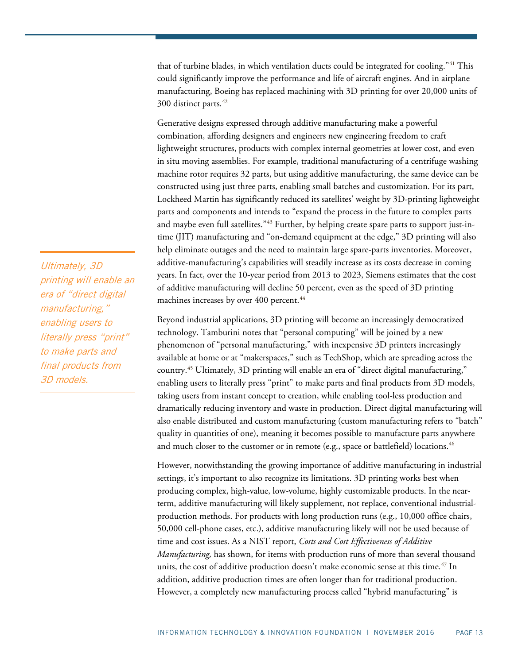that of turbine blades, in which ventilation ducts could be integrated for cooling."<sup>[41](#page-36-8)</sup> This could significantly improve the performance and life of aircraft engines. And in airplane manufacturing, Boeing has replaced machining with 3D printing for over 20,000 units of 300 distinct parts.<sup>[42](#page-36-9)</sup>

Generative designs expressed through additive manufacturing make a powerful combination, affording designers and engineers new engineering freedom to craft lightweight structures, products with complex internal geometries at lower cost, and even in situ moving assemblies. For example, traditional manufacturing of a centrifuge washing machine rotor requires 32 parts, but using additive manufacturing, the same device can be constructed using just three parts, enabling small batches and customization. For its part, Lockheed Martin has significantly reduced its satellites' weight by 3D-printing lightweight parts and components and intends to "expand the process in the future to complex parts and maybe even full satellites."<sup>[43](#page-36-10)</sup> Further, by helping create spare parts to support just-intime (JIT) manufacturing and "on-demand equipment at the edge," 3D printing will also help eliminate outages and the need to maintain large spare-parts inventories. Moreover, additive-manufacturing's capabilities will steadily increase as its costs decrease in coming years. In fact, over the 10-year period from 2013 to 2023, Siemens estimates that the cost of additive manufacturing will decline 50 percent, even as the speed of 3D printing machines increases by over 400 percent.<sup>[44](#page-36-11)</sup>

Beyond industrial applications, 3D printing will become an increasingly democratized technology. Tamburini notes that "personal computing" will be joined by a new phenomenon of "personal manufacturing," with inexpensive 3D printers increasingly available at home or at "makerspaces," such as TechShop, which are spreading across the country[.45](#page-36-12) Ultimately, 3D printing will enable an era of "direct digital manufacturing," enabling users to literally press "print" to make parts and final products from 3D models, taking users from instant concept to creation, while enabling tool-less production and dramatically reducing inventory and waste in production. Direct digital manufacturing will also enable distributed and custom manufacturing (custom manufacturing refers to "batch" quality in quantities of one), meaning it becomes possible to manufacture parts anywhere and much closer to the customer or in remote (e.g., space or battlefield) locations.<sup>[46](#page-36-13)</sup>

However, notwithstanding the growing importance of additive manufacturing in industrial settings, it's important to also recognize its limitations. 3D printing works best when producing complex, high-value, low-volume, highly customizable products. In the nearterm, additive manufacturing will likely supplement, not replace, conventional industrialproduction methods. For products with long production runs (e.g., 10,000 office chairs, 50,000 cell-phone cases, etc.), additive manufacturing likely will not be used because of time and cost issues. As a NIST report, *Costs and Cost Effectiveness of Additive Manufacturing,* has shown, for items with production runs of more than several thousand units, the cost of additive production doesn't make economic sense at this time.<sup>[47](#page-36-14)</sup> In addition, additive production times are often longer than for traditional production. However, a completely new manufacturing process called "hybrid manufacturing" is

Ultimately, 3D printing will enable an era of "direct digital manufacturing," enabling users to literally press "print" to make parts and final products from 3D models.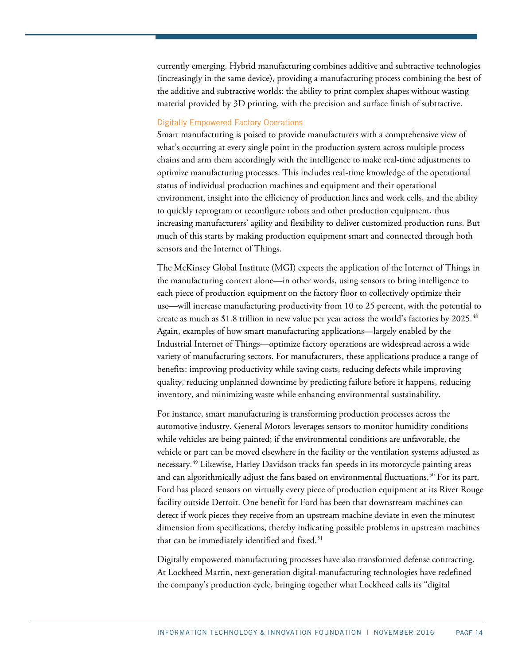currently emerging. Hybrid manufacturing combines additive and subtractive technologies (increasingly in the same device), providing a manufacturing process combining the best of the additive and subtractive worlds: the ability to print complex shapes without wasting material provided by 3D printing, with the precision and surface finish of subtractive.

#### Digitally Empowered Factory Operations

Smart manufacturing is poised to provide manufacturers with a comprehensive view of what's occurring at every single point in the production system across multiple process chains and arm them accordingly with the intelligence to make real-time adjustments to optimize manufacturing processes. This includes real-time knowledge of the operational status of individual production machines and equipment and their operational environment, insight into the efficiency of production lines and work cells, and the ability to quickly reprogram or reconfigure robots and other production equipment, thus increasing manufacturers' agility and flexibility to deliver customized production runs. But much of this starts by making production equipment smart and connected through both sensors and the Internet of Things.

The McKinsey Global Institute (MGI) expects the application of the Internet of Things in the manufacturing context alone—in other words, using sensors to bring intelligence to each piece of production equipment on the factory floor to collectively optimize their use—will increase manufacturing productivity from 10 to 25 percent, with the potential to create as much as \$1.8 trillion in new value per year across the world's factories by  $2025.^{48}$  $2025.^{48}$  $2025.^{48}$ Again, examples of how smart manufacturing applications—largely enabled by the Industrial Internet of Things—optimize factory operations are widespread across a wide variety of manufacturing sectors. For manufacturers, these applications produce a range of benefits: improving productivity while saving costs, reducing defects while improving quality, reducing unplanned downtime by predicting failure before it happens, reducing inventory, and minimizing waste while enhancing environmental sustainability.

For instance, smart manufacturing is transforming production processes across the automotive industry. General Motors leverages sensors to monitor humidity conditions while vehicles are being painted; if the environmental conditions are unfavorable, the vehicle or part can be moved elsewhere in the facility or the ventilation systems adjusted as necessary.[49](#page-36-16) Likewise, Harley Davidson tracks fan speeds in its motorcycle painting areas and can algorithmically adjust the fans based on environmental fluctuations.<sup>[50](#page-36-17)</sup> For its part, Ford has placed sensors on virtually every piece of production equipment at its River Rouge facility outside Detroit. One benefit for Ford has been that downstream machines can detect if work pieces they receive from an upstream machine deviate in even the minutest dimension from specifications, thereby indicating possible problems in upstream machines that can be immediately identified and fixed.<sup>[51](#page-36-18)</sup>

Digitally empowered manufacturing processes have also transformed defense contracting. At Lockheed Martin, next-generation digital-manufacturing technologies have redefined the company's production cycle, bringing together what Lockheed calls its "digital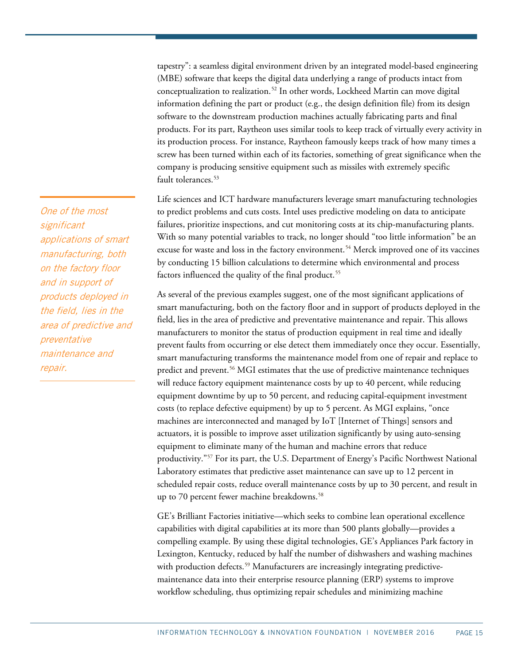tapestry": a seamless digital environment driven by an integrated model-based engineering (MBE) software that keeps the digital data underlying a range of products intact from conceptualization to realization.<sup>[52](#page-36-19)</sup> In other words, Lockheed Martin can move digital information defining the part or product (e.g., the design definition file) from its design software to the downstream production machines actually fabricating parts and final products. For its part, Raytheon uses similar tools to keep track of virtually every activity in its production process. For instance, Raytheon famously keeps track of how many times a screw has been turned within each of its factories, something of great significance when the company is producing sensitive equipment such as missiles with extremely specific fault tolerances.<sup>[53](#page-36-20)</sup>

Life sciences and ICT hardware manufacturers leverage smart manufacturing technologies to predict problems and cuts costs. Intel uses predictive modeling on data to anticipate failures, prioritize inspections, and cut monitoring costs at its chip-manufacturing plants. With so many potential variables to track, no longer should "too little information" be an excuse for waste and loss in the factory environment.<sup>[54](#page-37-0)</sup> Merck improved one of its vaccines by conducting 15 billion calculations to determine which environmental and process factors influenced the quality of the final product.<sup>[55](#page-37-1)</sup>

As several of the previous examples suggest, one of the most significant applications of smart manufacturing, both on the factory floor and in support of products deployed in the field, lies in the area of predictive and preventative maintenance and repair. This allows manufacturers to monitor the status of production equipment in real time and ideally prevent faults from occurring or else detect them immediately once they occur. Essentially, smart manufacturing transforms the maintenance model from one of repair and replace to predict and prevent.<sup>[56](#page-37-2)</sup> MGI estimates that the use of predictive maintenance techniques will reduce factory equipment maintenance costs by up to 40 percent, while reducing equipment downtime by up to 50 percent, and reducing capital-equipment investment costs (to replace defective equipment) by up to 5 percent. As MGI explains, "once machines are interconnected and managed by IoT [Internet of Things] sensors and actuators, it is possible to improve asset utilization significantly by using auto-sensing equipment to eliminate many of the human and machine errors that reduce productivity."[57](#page-37-3) For its part, the U.S. Department of Energy's Pacific Northwest National Laboratory estimates that predictive asset maintenance can save up to 12 percent in scheduled repair costs, reduce overall maintenance costs by up to 30 percent, and result in up to 70 percent fewer machine breakdowns.<sup>[58](#page-37-4)</sup>

GE's Brilliant Factories initiative—which seeks to combine lean operational excellence capabilities with digital capabilities at its more than 500 plants globally—provides a compelling example. By using these digital technologies, GE's Appliances Park factory in Lexington, Kentucky, reduced by half the number of dishwashers and washing machines with production defects.<sup>59</sup> Manufacturers are increasingly integrating predictivemaintenance data into their enterprise resource planning (ERP) systems to improve workflow scheduling, thus optimizing repair schedules and minimizing machine

One of the most significant applications of smart manufacturing, both on the factory floor and in support of products deployed in the field, lies in the area of predictive and preventative maintenance and repair.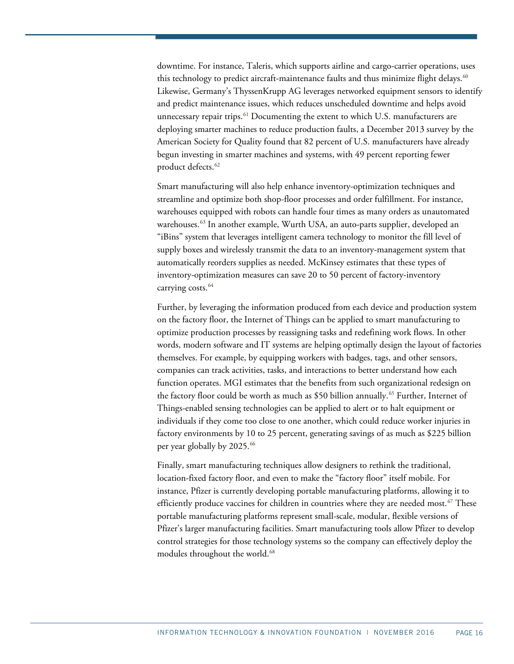downtime. For instance, Taleris, which supports airline and cargo-carrier operations, uses this technology to predict aircraft-maintenance faults and thus minimize flight delays. $60$ Likewise, Germany's ThyssenKrupp AG leverages networked equipment sensors to identify and predict maintenance issues, which reduces unscheduled downtime and helps avoid unnecessary repair trips.<sup>[61](#page-37-7)</sup> Documenting the extent to which U.S. manufacturers are deploying smarter machines to reduce production faults, a December 2013 survey by the American Society for Quality found that 82 percent of U.S. manufacturers have already begun investing in smarter machines and systems, with 49 percent reporting fewer product defects.<sup>[62](#page-37-8)</sup>

Smart manufacturing will also help enhance inventory-optimization techniques and streamline and optimize both shop-floor processes and order fulfillment. For instance, warehouses equipped with robots can handle four times as many orders as unautomated warehouses.<sup>[63](#page-37-9)</sup> In another example, Wurth USA, an auto-parts supplier, developed an "iBins" system that leverages intelligent camera technology to monitor the fill level of supply boxes and wirelessly transmit the data to an inventory-management system that automatically reorders supplies as needed. McKinsey estimates that these types of inventory-optimization measures can save 20 to 50 percent of factory-inventory carrying costs.<sup>[64](#page-37-10)</sup>

Further, by leveraging the information produced from each device and production system on the factory floor, the Internet of Things can be applied to smart manufacturing to optimize production processes by reassigning tasks and redefining work flows. In other words, modern software and IT systems are helping optimally design the layout of factories themselves. For example, by equipping workers with badges, tags, and other sensors, companies can track activities, tasks, and interactions to better understand how each function operates. MGI estimates that the benefits from such organizational redesign on the factory floor could be worth as much as \$50 billion annually.<sup>[65](#page-37-11)</sup> Further, Internet of Things-enabled sensing technologies can be applied to alert or to halt equipment or individuals if they come too close to one another, which could reduce worker injuries in factory environments by 10 to 25 percent, generating savings of as much as \$225 billion per year globally by 2025.<sup>[66](#page-37-12)</sup>

Finally, smart manufacturing techniques allow designers to rethink the traditional, location-fixed factory floor, and even to make the "factory floor" itself mobile. For instance, Pfizer is currently developing portable manufacturing platforms, allowing it to efficiently produce vaccines for children in countries where they are needed most.<sup>[67](#page-37-13)</sup> These portable manufacturing platforms represent small-scale, modular, flexible versions of Pfizer's larger manufacturing facilities. Smart manufacturing tools allow Pfizer to develop control strategies for those technology systems so the company can effectively deploy the modules throughout the world.<sup>68</sup>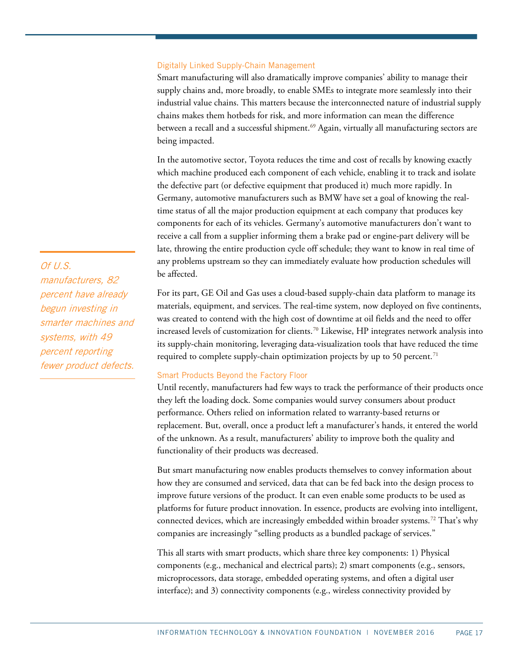#### Digitally Linked Supply-Chain Management

Smart manufacturing will also dramatically improve companies' ability to manage their supply chains and, more broadly, to enable SMEs to integrate more seamlessly into their industrial value chains. This matters because the interconnected nature of industrial supply chains makes them hotbeds for risk, and more information can mean the difference between a recall and a successful shipment.<sup>[69](#page-37-15)</sup> Again, virtually all manufacturing sectors are being impacted.

In the automotive sector, Toyota reduces the time and cost of recalls by knowing exactly which machine produced each component of each vehicle, enabling it to track and isolate the defective part (or defective equipment that produced it) much more rapidly. In Germany, automotive manufacturers such as BMW have set a goal of knowing the realtime status of all the major production equipment at each company that produces key components for each of its vehicles. Germany's automotive manufacturers don't want to receive a call from a supplier informing them a brake pad or engine-part delivery will be late, throwing the entire production cycle off schedule; they want to know in real time of any problems upstream so they can immediately evaluate how production schedules will be affected.

For its part, GE Oil and Gas uses a cloud-based supply-chain data platform to manage its materials, equipment, and services. The real-time system, now deployed on five continents, was created to contend with the high cost of downtime at oil fields and the need to offer increased levels of customization for clients.<sup>[70](#page-37-16)</sup> Likewise, HP integrates network analysis into its supply-chain monitoring, leveraging data-visualization tools that have reduced the time required to complete supply-chain optimization projects by up to 50 percent.<sup>[71](#page-37-17)</sup>

#### Smart Products Beyond the Factory Floor

Until recently, manufacturers had few ways to track the performance of their products once they left the loading dock. Some companies would survey consumers about product performance. Others relied on information related to warranty-based returns or replacement. But, overall, once a product left a manufacturer's hands, it entered the world of the unknown. As a result, manufacturers' ability to improve both the quality and functionality of their products was decreased.

But smart manufacturing now enables products themselves to convey information about how they are consumed and serviced, data that can be fed back into the design process to improve future versions of the product. It can even enable some products to be used as platforms for future product innovation. In essence, products are evolving into intelligent, connected devices, which are increasingly embedded within broader systems.<sup>[72](#page-37-18)</sup> That's why companies are increasingly "selling products as a bundled package of services."

This all starts with smart products, which share three key components: 1) Physical components (e.g., mechanical and electrical parts); 2) smart components (e.g., sensors, microprocessors, data storage, embedded operating systems, and often a digital user interface); and 3) connectivity components (e.g., wireless connectivity provided by

Of U.S. manufacturers, 82 percent have already begun investing in smarter machines and systems, with 49 percent reporting fewer product defects.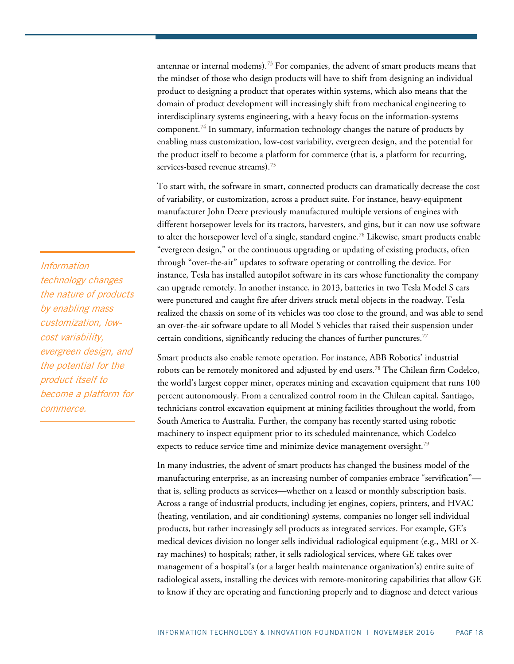antennae or internal modems).<sup>[73](#page-37-19)</sup> For companies, the advent of smart products means that the mindset of those who design products will have to shift from designing an individual product to designing a product that operates within systems, which also means that the domain of product development will increasingly shift from mechanical engineering to interdisciplinary systems engineering, with a heavy focus on the information-systems component.<sup>[74](#page-37-20)</sup> In summary, information technology changes the nature of products by enabling mass customization, low-cost variability, evergreen design, and the potential for the product itself to become a platform for commerce (that is, a platform for recurring, services-based revenue streams).<sup>[75](#page-37-21)</sup>

To start with, the software in smart, connected products can dramatically decrease the cost of variability, or customization, across a product suite. For instance, heavy-equipment manufacturer John Deere previously manufactured multiple versions of engines with different horsepower levels for its tractors, harvesters, and gins, but it can now use software to alter the horsepower level of a single, standard engine.<sup>[76](#page-37-22)</sup> Likewise, smart products enable "evergreen design," or the continuous upgrading or updating of existing products, often through "over-the-air" updates to software operating or controlling the device. For instance, Tesla has installed autopilot software in its cars whose functionality the company can upgrade remotely. In another instance, in 2013, batteries in two Tesla Model S cars were punctured and caught fire after drivers struck metal objects in the roadway. Tesla realized the chassis on some of its vehicles was too close to the ground, and was able to send an over-the-air software update to all Model S vehicles that raised their suspension under certain conditions, significantly reducing the chances of further punctures.<sup>77</sup>

Smart products also enable remote operation. For instance, ABB Robotics' industrial robots can be remotely monitored and adjusted by end users.<sup>[78](#page-37-24)</sup> The Chilean firm Codelco, the world's largest copper miner, operates mining and excavation equipment that runs 100 percent autonomously. From a centralized control room in the Chilean capital, Santiago, technicians control excavation equipment at mining facilities throughout the world, from South America to Australia. Further, the company has recently started using robotic machinery to inspect equipment prior to its scheduled maintenance, which Codelco expects to reduce service time and minimize device management oversight.<sup>[79](#page-38-0)</sup>

In many industries, the advent of smart products has changed the business model of the manufacturing enterprise, as an increasing number of companies embrace "servification" that is, selling products as services—whether on a leased or monthly subscription basis. Across a range of industrial products, including jet engines, copiers, printers, and HVAC (heating, ventilation, and air conditioning) systems, companies no longer sell individual products, but rather increasingly sell products as integrated services. For example, GE's medical devices division no longer sells individual radiological equipment (e.g., MRI or Xray machines) to hospitals; rather, it sells radiological services, where GE takes over management of a hospital's (or a larger health maintenance organization's) entire suite of radiological assets, installing the devices with remote-monitoring capabilities that allow GE to know if they are operating and functioning properly and to diagnose and detect various

Information technology changes the nature of products by enabling mass customization, lowcost variability, evergreen design, and the potential for the product itself to become a platform for commerce.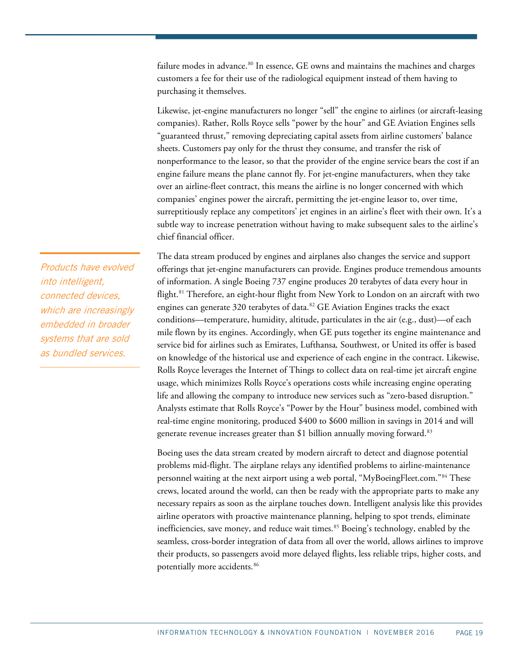failure modes in advance.<sup>[80](#page-38-1)</sup> In essence, GE owns and maintains the machines and charges customers a fee for their use of the radiological equipment instead of them having to purchasing it themselves.

Likewise, jet-engine manufacturers no longer "sell" the engine to airlines (or aircraft-leasing companies). Rather, Rolls Royce sells "power by the hour" and GE Aviation Engines sells "guaranteed thrust," removing depreciating capital assets from airline customers' balance sheets. Customers pay only for the thrust they consume, and transfer the risk of nonperformance to the leasor, so that the provider of the engine service bears the cost if an engine failure means the plane cannot fly. For jet-engine manufacturers, when they take over an airline-fleet contract, this means the airline is no longer concerned with which companies' engines power the aircraft, permitting the jet-engine leasor to, over time, surreptitiously replace any competitors' jet engines in an airline's fleet with their own. It's a subtle way to increase penetration without having to make subsequent sales to the airline's chief financial officer.

The data stream produced by engines and airplanes also changes the service and support offerings that jet-engine manufacturers can provide. Engines produce tremendous amounts of information. A single Boeing 737 engine produces 20 terabytes of data every hour in flight.<sup>[81](#page-38-2)</sup> Therefore, an eight-hour flight from New York to London on an aircraft with two engines can generate 320 terabytes of data.<sup>[82](#page-38-3)</sup> GE Aviation Engines tracks the exact conditions—temperature, humidity, altitude, particulates in the air (e.g., dust)—of each mile flown by its engines. Accordingly, when GE puts together its engine maintenance and service bid for airlines such as Emirates, Lufthansa*,* Southwest, or United its offer is based on knowledge of the historical use and experience of each engine in the contract. Likewise, Rolls Royce leverages the Internet of Things to collect data on real-time jet aircraft engine usage, which minimizes Rolls Royce's operations costs while increasing engine operating life and allowing the company to introduce new services such as "zero-based disruption." Analysts estimate that Rolls Royce's "Power by the Hour" business model, combined with real-time engine monitoring, produced \$400 to \$600 million in savings in 2014 and will generate revenue increases greater than \$1 billion annually moving forward.<sup>[83](#page-38-4)</sup>

Boeing uses the data stream created by modern aircraft to detect and diagnose potential problems mid-flight. The airplane relays any identified problems to airline-maintenance personnel waiting at the next airport using a web portal, "MyBoeingFleet.com.["84](#page-38-5) These crews, located around the world, can then be ready with the appropriate parts to make any necessary repairs as soon as the airplane touches down. Intelligent analysis like this provides airline operators with proactive maintenance planning, helping to spot trends, eliminate inefficiencies, save money, and reduce wait times.<sup>[85](#page-38-6)</sup> Boeing's technology, enabled by the seamless, cross-border integration of data from all over the world, allows airlines to improve their products, so passengers avoid more delayed flights, less reliable trips, higher costs, and potentially more accidents.<sup>[86](#page-38-7)</sup>

Products have evolved into intelligent, connected devices, which are increasingly embedded in broader systems that are sold as bundled services.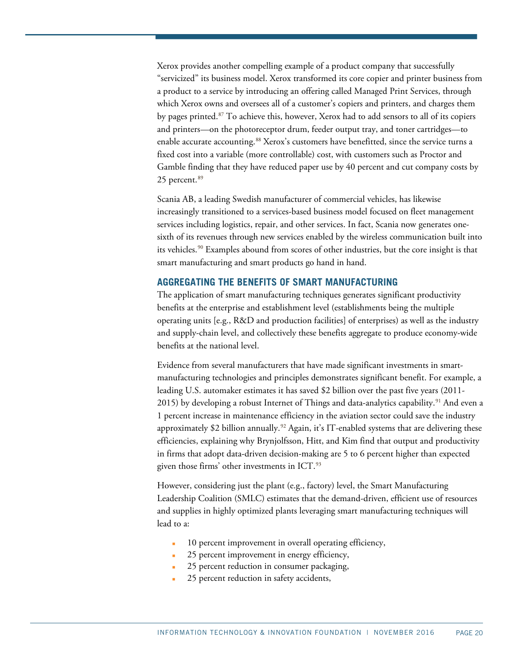Xerox provides another compelling example of a product company that successfully "servicized" its business model. Xerox transformed its core copier and printer business from a product to a service by introducing an offering called Managed Print Services, through which Xerox owns and oversees all of a customer's copiers and printers, and charges them by pages printed.<sup>[87](#page-38-8)</sup> To achieve this, however, Xerox had to add sensors to all of its copiers and printers—on the photoreceptor drum, feeder output tray, and toner cartridges—to enable accurate accounting.<sup>[88](#page-38-9)</sup> Xerox's customers have benefitted, since the service turns a fixed cost into a variable (more controllable) cost, with customers such as Proctor and Gamble finding that they have reduced paper use by 40 percent and cut company costs by 25 percent.<sup>[89](#page-38-10)</sup>

Scania AB, a leading Swedish manufacturer of commercial vehicles, has likewise increasingly transitioned to a services-based business model focused on fleet management services including logistics, repair, and other services. In fact, Scania now generates onesixth of its revenues through new services enabled by the wireless communication built into its vehicles. [90](#page-38-11) Examples abound from scores of other industries, but the core insight is that smart manufacturing and smart products go hand in hand.

# **AGGREGATING THE BENEFITS OF SMART MANUFACTURING**

The application of smart manufacturing techniques generates significant productivity benefits at the enterprise and establishment level (establishments being the multiple operating units [e.g., R&D and production facilities] of enterprises) as well as the industry and supply-chain level, and collectively these benefits aggregate to produce economy-wide benefits at the national level.

Evidence from several manufacturers that have made significant investments in smartmanufacturing technologies and principles demonstrates significant benefit. For example, a leading U.S. automaker estimates it has saved \$2 billion over the past five years (2011- 2015) by developing a robust Internet of Things and data-analytics capability.<sup>[91](#page-38-12)</sup> And even a 1 percent increase in maintenance efficiency in the aviation sector could save the industry approximately \$2 billion annually.<sup>[92](#page-38-13)</sup> Again, it's IT-enabled systems that are delivering these efficiencies, explaining why Brynjolfsson, Hitt, and Kim find that output and productivity in firms that adopt data-driven decision-making are 5 to 6 percent higher than expected given those firms' other investments in ICT.<sup>[93](#page-38-14)</sup>

However, considering just the plant (e.g., factory) level, the Smart Manufacturing Leadership Coalition (SMLC) estimates that the demand-driven, efficient use of resources and supplies in highly optimized plants leveraging smart manufacturing techniques will lead to a:

- 10 percent improvement in overall operating efficiency,
- 25 percent improvement in energy efficiency,
- 25 percent reduction in consumer packaging,
- 25 percent reduction in safety accidents,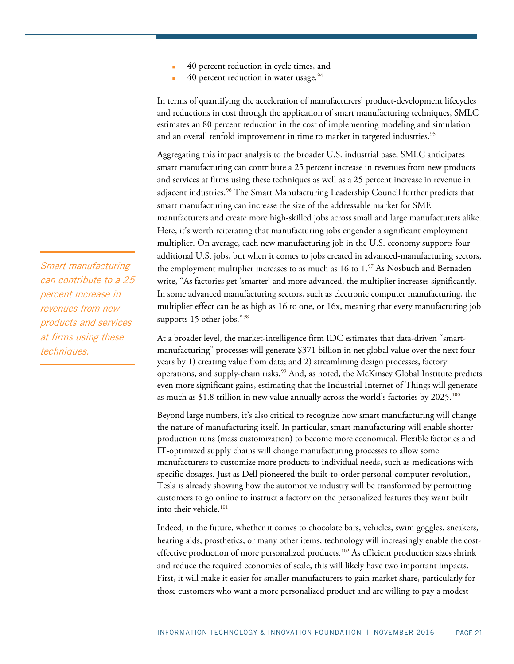- 40 percent reduction in cycle times, and
- 40 percent reduction in water usage. $94$

In terms of quantifying the acceleration of manufacturers' product-development lifecycles and reductions in cost through the application of smart manufacturing techniques, SMLC estimates an 80 percent reduction in the cost of implementing modeling and simulation and an overall tenfold improvement in time to market in targeted industries.<sup>[95](#page-38-16)</sup>

Aggregating this impact analysis to the broader U.S. industrial base, SMLC anticipates smart manufacturing can contribute a 25 percent increase in revenues from new products and services at firms using these techniques as well as a 25 percent increase in revenue in adjacent industries.<sup>[96](#page-38-17)</sup> The Smart Manufacturing Leadership Council further predicts that smart manufacturing can increase the size of the addressable market for SME manufacturers and create more high-skilled jobs across small and large manufacturers alike. Here, it's worth reiterating that manufacturing jobs engender a significant employment multiplier. On average, each new manufacturing job in the U.S. economy supports four additional U.S. jobs, but when it comes to jobs created in advanced-manufacturing sectors, the employment multiplier increases to as much as 16 to 1.[97](#page-38-18) As Nosbuch and Bernaden write, "As factories get 'smarter' and more advanced, the multiplier increases significantly. In some advanced manufacturing sectors, such as electronic computer manufacturing, the multiplier effect can be as high as 16 to one, or 16x, meaning that every manufacturing job supports 15 other jobs."<sup>[98](#page-38-19)</sup>

At a broader level, the market-intelligence firm IDC estimates that data-driven "smartmanufacturing" processes will generate \$371 billion in net global value over the next four years by 1) creating value from data; and 2) streamlining design processes, factory operations, and supply-chain risks.<sup>[99](#page-38-20)</sup> And, as noted, the McKinsey Global Institute predicts even more significant gains, estimating that the Industrial Internet of Things will generate as much as \$1.8 trillion in new value annually across the world's factories by  $2025.^{100}$  $2025.^{100}$  $2025.^{100}$ 

Beyond large numbers, it's also critical to recognize how smart manufacturing will change the nature of manufacturing itself. In particular, smart manufacturing will enable shorter production runs (mass customization) to become more economical. Flexible factories and IT-optimized supply chains will change manufacturing processes to allow some manufacturers to customize more products to individual needs, such as medications with specific dosages. Just as Dell pioneered the built-to-order personal-computer revolution, Tesla is already showing how the automotive industry will be transformed by permitting customers to go online to instruct a factory on the personalized features they want built into their vehicle.<sup>[101](#page-39-1)</sup>

Indeed, in the future, whether it comes to chocolate bars, vehicles, swim goggles, sneakers, hearing aids, prosthetics, or many other items, technology will increasingly enable the costeffective production of more personalized products. [102](#page-39-2) As efficient production sizes shrink and reduce the required economies of scale, this will likely have two important impacts. First, it will make it easier for smaller manufacturers to gain market share, particularly for those customers who want a more personalized product and are willing to pay a modest

Smart manufacturing can contribute to a 25 percent increase in revenues from new products and services at firms using these techniques.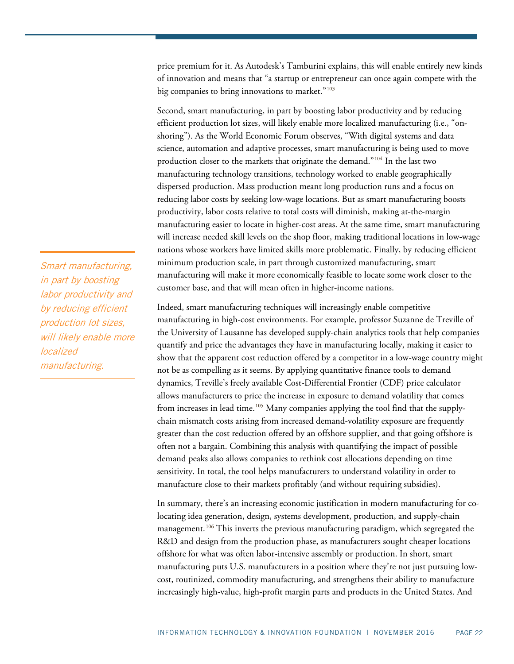price premium for it. As Autodesk's Tamburini explains, this will enable entirely new kinds of innovation and means that "a startup or entrepreneur can once again compete with the big companies to bring innovations to market."<sup>[103](#page-39-3)</sup>

Second, smart manufacturing, in part by boosting labor productivity and by reducing efficient production lot sizes, will likely enable more localized manufacturing (i.e., "onshoring"). As the World Economic Forum observes, "With digital systems and data science, automation and adaptive processes, smart manufacturing is being used to move production closer to the markets that originate the demand."[104](#page-39-4) In the last two manufacturing technology transitions, technology worked to enable geographically dispersed production. Mass production meant long production runs and a focus on reducing labor costs by seeking low-wage locations. But as smart manufacturing boosts productivity, labor costs relative to total costs will diminish, making at-the-margin manufacturing easier to locate in higher-cost areas. At the same time, smart manufacturing will increase needed skill levels on the shop floor, making traditional locations in low-wage nations whose workers have limited skills more problematic. Finally, by reducing efficient minimum production scale, in part through customized manufacturing, smart manufacturing will make it more economically feasible to locate some work closer to the customer base, and that will mean often in higher-income nations.

Indeed, smart manufacturing techniques will increasingly enable competitive manufacturing in high-cost environments. For example, professor Suzanne de Treville of the University of Lausanne has developed supply-chain analytics tools that help companies quantify and price the advantages they have in manufacturing locally, making it easier to show that the apparent cost reduction offered by a competitor in a low-wage country might not be as compelling as it seems. By applying quantitative finance tools to demand dynamics, Treville's freely available Cost-Differential Frontier (CDF) price calculator allows manufacturers to price the increase in exposure to demand volatility that comes from increases in lead time.<sup>[105](#page-39-5)</sup> Many companies applying the tool find that the supplychain mismatch costs arising from increased demand-volatility exposure are frequently greater than the cost reduction offered by an offshore supplier, and that going offshore is often not a bargain. Combining this analysis with quantifying the impact of possible demand peaks also allows companies to rethink cost allocations depending on time sensitivity. In total, the tool helps manufacturers to understand volatility in order to manufacture close to their markets profitably (and without requiring subsidies).

In summary, there's an increasing economic justification in modern manufacturing for colocating idea generation, design, systems development, production, and supply-chain management.<sup>[106](#page-39-6)</sup> This inverts the previous manufacturing paradigm, which segregated the R&D and design from the production phase, as manufacturers sought cheaper locations offshore for what was often labor-intensive assembly or production. In short, smart manufacturing puts U.S. manufacturers in a position where they're not just pursuing lowcost, routinized, commodity manufacturing, and strengthens their ability to manufacture increasingly high-value, high-profit margin parts and products in the United States. And

Smart manufacturing, in part by boosting labor productivity and by reducing efficient production lot sizes, will likely enable more localized manufacturing.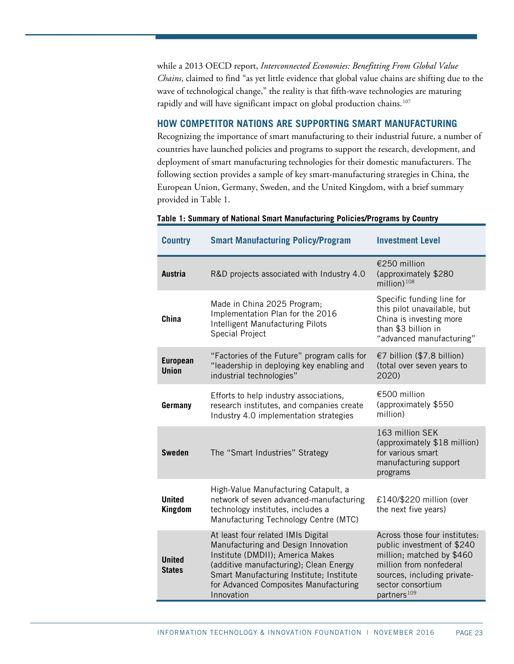while a 2013 OECD report, *Interconnected Economies: Benefitting From Global Value Chains*, claimed to find "as yet little evidence that global value chains are shifting due to the wave of technological change," the reality is that fifth-wave technologies are maturing rapidly and will have significant impact on global production chains.<sup>[107](#page-39-7)</sup>

# **HOW COMPETITOR NATIONS ARE SUPPORTING SMART MANUFACTURING**

Recognizing the importance of smart manufacturing to their industrial future, a number of countries have launched policies and programs to support the research, development, and deployment of smart manufacturing technologies for their domestic manufacturers. The following section provides a sample of key smart-manufacturing strategies in China, the European Union, Germany, Sweden, and the United Kingdom, with a brief summary provided in Table 1.

| <b>Country</b>                  | <b>Smart Manufacturing Policy/Program</b>                                                                                                                                                                                                                  | <b>Investment Level</b>                                                                                                                                                                            |
|---------------------------------|------------------------------------------------------------------------------------------------------------------------------------------------------------------------------------------------------------------------------------------------------------|----------------------------------------------------------------------------------------------------------------------------------------------------------------------------------------------------|
| <b>Austria</b>                  | R&D projects associated with Industry 4.0                                                                                                                                                                                                                  | €250 million<br>(approximately \$280<br>million) $108$                                                                                                                                             |
| China                           | Made in China 2025 Program;<br>Implementation Plan for the 2016<br>Intelligent Manufacturing Pilots<br><b>Special Project</b>                                                                                                                              | Specific funding line for<br>this pilot unavailable, but<br>China is investing more<br>than \$3 billion in<br>"advanced manufacturing"                                                             |
| <b>European</b><br><b>Union</b> | "Factories of the Future" program calls for<br>"leadership in deploying key enabling and<br>industrial technologies"                                                                                                                                       | €7 billion (\$7.8 billion)<br>(total over seven years to<br>2020)                                                                                                                                  |
| Germany                         | Efforts to help industry associations,<br>research institutes, and companies create<br>Industry 4.0 implementation strategies                                                                                                                              | €500 million<br>(approximately \$550<br>million)                                                                                                                                                   |
| <b>Sweden</b>                   | The "Smart Industries" Strategy                                                                                                                                                                                                                            | 163 million SEK<br>(approximately \$18 million)<br>for various smart<br>manufacturing support<br>programs                                                                                          |
| <b>United</b><br>Kingdom        | High-Value Manufacturing Catapult, a<br>network of seven advanced-manufacturing<br>technology institutes, includes a<br>Manufacturing Technology Centre (MTC)                                                                                              | £140/\$220 million (over<br>the next five years)                                                                                                                                                   |
| <b>United</b><br><b>States</b>  | At least four related IMIs Digital<br>Manufacturing and Design Innovation<br>Institute (DMDII); America Makes<br>(additive manufacturing); Clean Energy<br>Smart Manufacturing Institute; Institute<br>for Advanced Composites Manufacturing<br>Innovation | Across those four institutes:<br>public investment of \$240<br>million; matched by \$460<br>million from nonfederal<br>sources, including private-<br>sector consortium<br>partners <sup>109</sup> |

#### **Table 1: Summary of National Smart Manufacturing Policies/Programs by Country**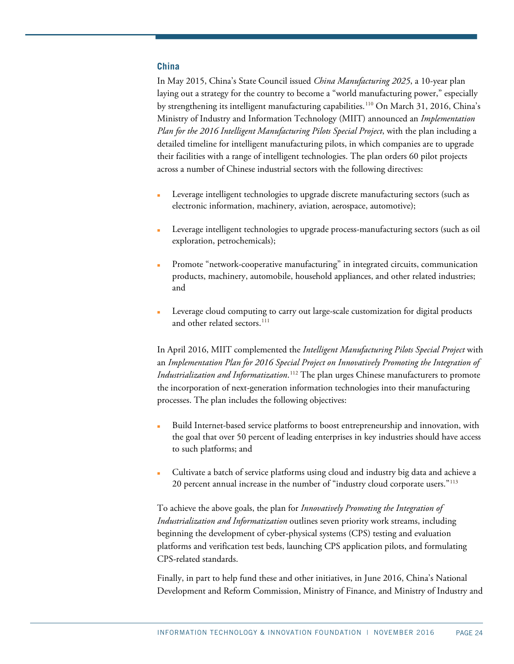#### **China**

In May 2015, China's State Council issued *China Manufacturing 2025*, a 10-year plan laying out a strategy for the country to become a "world manufacturing power," especially by strengthening its intelligent manufacturing capabilities.<sup>[110](#page-39-10)</sup> On March 31, 2016, China's Ministry of Industry and Information Technology (MIIT) announced an *Implementation Plan for the 2016 Intelligent Manufacturing Pilots Special Project*, with the plan including a detailed timeline for intelligent manufacturing pilots, in which companies are to upgrade their facilities with a range of intelligent technologies. The plan orders 60 pilot projects across a number of Chinese industrial sectors with the following directives:

- Leverage intelligent technologies to upgrade discrete manufacturing sectors (such as electronic information, machinery, aviation, aerospace, automotive);
- Leverage intelligent technologies to upgrade process-manufacturing sectors (such as oil exploration, petrochemicals);
- Promote "network-cooperative manufacturing" in integrated circuits, communication products, machinery, automobile, household appliances, and other related industries; and
- Leverage cloud computing to carry out large-scale customization for digital products and other related sectors.<sup>[111](#page-39-11)</sup>

In April 2016, MIIT complemented the *Intelligent Manufacturing Pilots Special Project* with an *Implementation Plan for 2016 Special Project on Innovatively Promoting the Integration of Industrialization and Informatization*. [112](#page-39-12) The plan urges Chinese manufacturers to promote the incorporation of next-generation information technologies into their manufacturing processes. The plan includes the following objectives:

- Build Internet-based service platforms to boost entrepreneurship and innovation, with the goal that over 50 percent of leading enterprises in key industries should have access to such platforms; and
- Cultivate a batch of service platforms using cloud and industry big data and achieve a 20 percent annual increase in the number of "industry cloud corporate users."<sup>[113](#page-39-13)</sup>

To achieve the above goals, the plan for *Innovatively Promoting the Integration of Industrialization and Informatization* outlines seven priority work streams, including beginning the development of cyber-physical systems (CPS) testing and evaluation platforms and verification test beds, launching CPS application pilots, and formulating CPS-related standards.

Finally, in part to help fund these and other initiatives, in June 2016, China's National Development and Reform Commission, Ministry of Finance, and Ministry of Industry and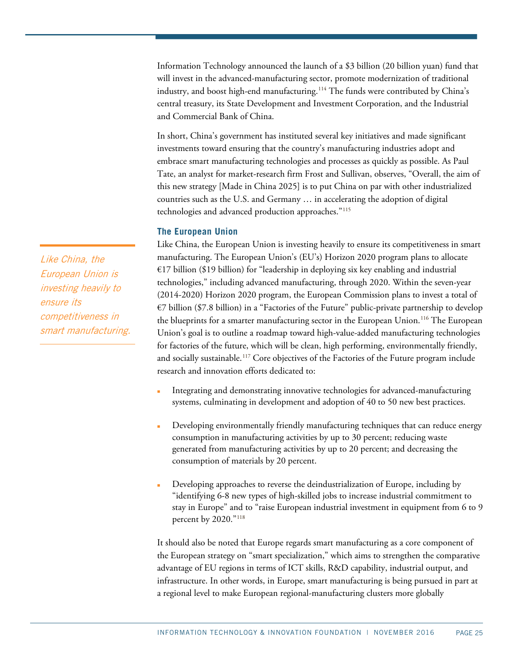Information Technology announced the launch of a \$3 billion (20 billion yuan) fund that will invest in the advanced-manufacturing sector, promote modernization of traditional industry, and boost high-end manufacturing.<sup>[114](#page-39-14)</sup> The funds were contributed by China's central treasury, its State Development and Investment Corporation, and the Industrial and Commercial Bank of China.

In short, China's government has instituted several key initiatives and made significant investments toward ensuring that the country's manufacturing industries adopt and embrace smart manufacturing technologies and processes as quickly as possible. As Paul Tate, an analyst for market-research firm Frost and Sullivan, observes, "Overall, the aim of this new strategy [Made in China 2025] is to put China on par with other industrialized countries such as the U.S. and Germany … in accelerating the adoption of digital technologies and advanced production approaches."<sup>[115](#page-39-15)</sup>

#### **The European Union**

Like China, the European Union is investing heavily to ensure its competitiveness in smart manufacturing. The European Union's (EU's) Horizon 2020 program plans to allocate  $\epsilon$ 17 billion (\$19 billion) for "leadership in deploying six key enabling and industrial technologies," including advanced manufacturing, through 2020. Within the seven-year (2014-2020) Horizon 2020 program, the European Commission plans to invest a total of €7 billion (\$7.8 billion) in a ["Factories of the Future" public-private partnership](http://www.effra.eu/) to develop the blueprints for a smarter manufacturing sector in the European Union.<sup>[116](#page-39-16)</sup> The European Union's goal is to outline a roadmap toward high-value-added manufacturing technologies for factories of the future, which will be clean, high performing, environmentally friendly, and socially sustainable.[117](#page-40-0) Core objectives of the Factories of the Future program include research and innovation efforts dedicated to:

- Integrating and demonstrating innovative technologies for advanced-manufacturing systems, culminating in development and adoption of 40 to 50 new best practices.
- Developing environmentally friendly manufacturing techniques that can reduce energy consumption in manufacturing activities by up to 30 percent; reducing waste generated from manufacturing activities by up to 20 percent; and decreasing the consumption of materials by 20 percent.
- Developing approaches to reverse the deindustrialization of Europe, including by "identifying 6-8 new types of high-skilled jobs to increase industrial commitment to stay in Europe" and to "raise European industrial investment in equipment from 6 to 9 percent by 2020."[118](#page-40-1)

It should also be noted that Europe regards smart manufacturing as a core component of the European strategy on "smart specialization," which aims to strengthen the comparative advantage of EU regions in terms of ICT skills, R&D capability, industrial output, and infrastructure. In other words, in Europe, smart manufacturing is being pursued in part at a regional level to make European regional-manufacturing clusters more globally

Like China, the European Union is investing heavily to ensure its competitiveness in smart manufacturing.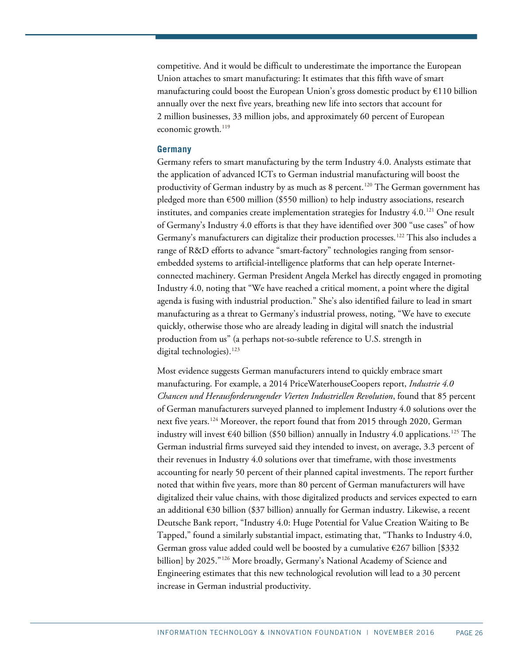competitive. And it would be difficult to underestimate the importance the European Union attaches to smart manufacturing: It estimates that this fifth wave of smart manufacturing could boost the European Union's gross domestic product by €110 billion annually over the next five years, breathing new life into sectors that account for 2 million businesses, 33 million jobs, and approximately 60 percent of European economic growth. [119](#page-40-2)

#### **Germany**

Germany refers to smart manufacturing by the term Industry 4.0. Analysts estimate that the application of advanced ICTs to German industrial manufacturing will boost the productivity of German industry by as much as 8 percent.<sup>[120](#page-40-3)</sup> The German government has pledged more than  $\epsilon$ 500 million (\$550 million) to help industry associations, research institutes, and companies create implementation strategies for Industry  $4.0$ .<sup>[121](#page-40-4)</sup> One result of Germany's Industry 4.0 efforts is that they have identified over 300 "use cases" of how Germany's manufacturers can digitalize their production processes.<sup>[122](#page-40-5)</sup> This also includes a range of R&D efforts to advance "smart-factory" technologies ranging from sensorembedded systems to artificial-intelligence platforms that can help operate Internetconnected machinery. German President Angela Merkel has directly engaged in promoting Industry 4.0, noting that "We have reached a critical moment, a point where the digital agenda is fusing with industrial production." She's also identified failure to lead in smart manufacturing as a threat to Germany's industrial prowess, noting, "We have to execute quickly, otherwise those who are already leading in digital will snatch the industrial production from us" (a perhaps not-so-subtle reference to U.S. strength in digital technologies). [123](#page-40-6)

Most evidence suggests German manufacturers intend to quickly embrace smart manufacturing. For example, a 2014 PriceWaterhouseCoopers report, *[Industrie 4.0](http://www.strategyand.pwc.com/global/home/what-we-think/reports-white-papers/article-display/industrie-4-0)  [Chancen und Herausforderungender Vierten Industriellen Revolution](http://www.strategyand.pwc.com/global/home/what-we-think/reports-white-papers/article-display/industrie-4-0)*, found that 85 percent of German manufacturers surveyed planned to implement Industry 4.0 solutions over the next five years.<sup>[124](#page-40-7)</sup> Moreover, the report found that from 2015 through 2020, German industry will invest  $\epsilon$ 40 billion (\$50 billion) annually in Industry 4.0 applications.<sup>[125](#page-40-8)</sup> The German industrial firms surveyed said they intended to invest, on average, 3.3 percent of their revenues in Industry 4.0 solutions over that timeframe, with those investments accounting for nearly 50 percent of their planned capital investments. The report further noted that within five years, more than 80 percent of German manufacturers will have digitalized their value chains, with those digitalized products and services expected to earn an additional €30 billion (\$37 billion) annually for German industry. Likewise, a recent Deutsche Bank report, "Industry 4.0: Huge Potential for Value Creation Waiting to Be Tapped," found a similarly substantial impact, estimating that, "Thanks to Industry 4.0, German gross value added could well be boosted by a cumulative  $\epsilon$ 267 billion [\$332 billion] by 2025."<sup>[126](#page-40-9)</sup> More broadly, Germany's National Academy of Science and Engineering estimates that this new technological revolution will lead to a 30 percent increase in German industrial productivity.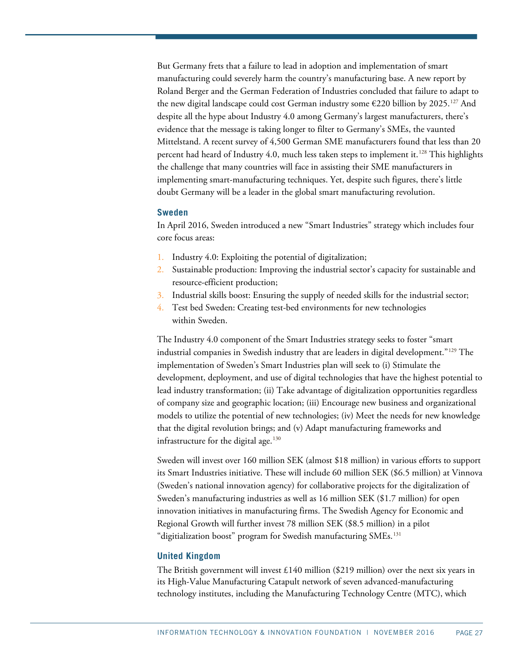But Germany frets that a failure to lead in adoption and implementation of smart manufacturing could severely harm the country's manufacturing base. A new report by Roland Berger and the German Federation of Industries concluded that failure to adapt to the new digital landscape could cost German industry some €220 billion by 2025.[127](#page-40-10) And despite all the hype about Industry 4.0 among Germany's largest manufacturers, there's evidence that the message is taking longer to filter to Germany's SMEs, the vaunted Mittelstand. A recent survey of 4,500 German SME manufacturers found that less than 20 percent had heard of Industry 4.0, much less taken steps to implement it.<sup>[128](#page-40-11)</sup> This highlights the challenge that many countries will face in assisting their SME manufacturers in implementing smart-manufacturing techniques. Yet, despite such figures, there's little doubt Germany will be a leader in the global smart manufacturing revolution.

#### **Sweden**

In April 2016, Sweden introduced a new "Smart Industries" strategy which includes four core focus areas:

- 1. Industry 4.0: Exploiting the potential of digitalization;
- 2. Sustainable production: Improving the industrial sector's capacity for sustainable and resource-efficient production;
- 3. Industrial skills boost: Ensuring the supply of needed skills for the industrial sector;
- Test bed Sweden: Creating test-bed environments for new technologies within Sweden.

The Industry 4.0 component of the Smart Industries strategy seeks to foster "smart industrial companies in Swedish industry that are leaders in digital development."[129](#page-40-12) The implementation of Sweden's Smart Industries plan will seek to (i) Stimulate the development, deployment, and use of digital technologies that have the highest potential to lead industry transformation; (ii) Take advantage of digitalization opportunities regardless of company size and geographic location; (iii) Encourage new business and organizational models to utilize the potential of new technologies; (iv) Meet the needs for new knowledge that the digital revolution brings; and (v) Adapt manufacturing frameworks and infrastructure for the digital age. $130$ 

Sweden will invest over 160 million SEK (almost \$18 million) in various efforts to support its Smart Industries initiative. These will include 60 million SEK (\$6.5 million) at Vinnova (Sweden's national innovation agency) for collaborative projects for the digitalization of Sweden's manufacturing industries as well as 16 million SEK (\$1.7 million) for open innovation initiatives in manufacturing firms. The Swedish Agency for Economic and Regional Growth will further invest 78 million SEK (\$8.5 million) in a pilot "digitialization boost" program for Swedish manufacturing SMEs.<sup>[131](#page-40-14)</sup>

## **United Kingdom**

The British government will invest £140 million (\$219 million) over the next six years in its High-Value Manufacturing Catapult network of seven advanced-manufacturing technology institutes, including the Manufacturing Technology Centre (MTC), which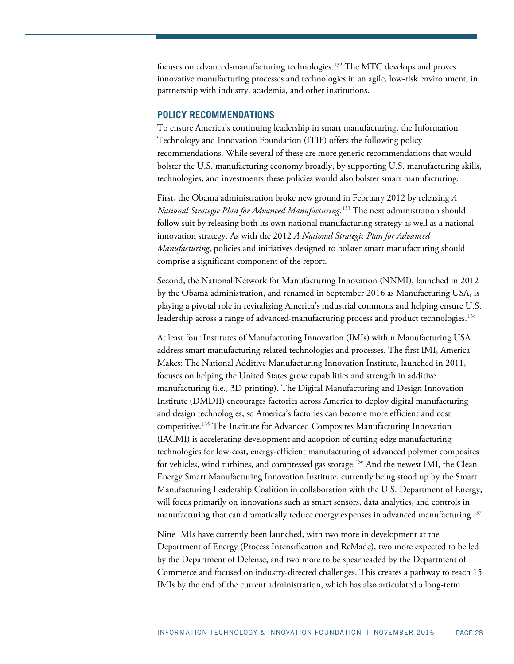focuses on advanced-manufacturing technologies.<sup>[132](#page-40-15)</sup> The MTC develops and proves innovative manufacturing processes and technologies in an agile, low-risk environment, in partnership with industry, academia, and other institutions.

#### **POLICY RECOMMENDATIONS**

To ensure America's continuing leadership in smart manufacturing, the Information Technology and Innovation Foundation (ITIF) offers the following policy recommendations. While several of these are more generic recommendations that would bolster the U.S. manufacturing economy broadly, by supporting U.S. manufacturing skills, technologies, and investments these policies would also bolster smart manufacturing.

First, the Obama administration broke new ground in February 2012 by releasing *A National Strategic Plan for Advanced Manufacturing.*[133](#page-40-16) The next administration should follow suit by releasing both its own national manufacturing strategy as well as a national innovation strategy. As with the 2012 *A National Strategic Plan for Advanced Manufacturing*, policies and initiatives designed to bolster smart manufacturing should comprise a significant component of the report.

Second, the National Network for Manufacturing Innovation (NNMI), launched in 2012 by the Obama administration, and renamed in September 2016 as Manufacturing USA, is playing a pivotal role in revitalizing America's industrial commons and helping ensure U.S. leadership across a range of advanced-manufacturing process and product technologies.<sup>[134](#page-40-17)</sup>

At least four Institutes of Manufacturing Innovation (IMIs) within Manufacturing USA address smart manufacturing-related technologies and processes. The first IMI, America Makes: The National Additive Manufacturing Innovation Institute, launched in 2011, focuses on helping the United States grow capabilities and strength in additive manufacturing (i.e., 3D printing). The Digital Manufacturing and Design Innovation Institute (DMDII) encourages factories across America to deploy digital manufacturing and design technologies, so America's factories can become more efficient and cost competitive.[135](#page-41-0) The Institute for Advanced Composites Manufacturing Innovation (IACMI) is accelerating development and adoption of cutting-edge manufacturing technologies for low-cost, energy-efficient manufacturing of advanced polymer composites for vehicles, wind turbines, and compressed gas storage.<sup>[136](#page-41-1)</sup> And the newest IMI, the Clean Energy Smart Manufacturing Innovation Institute, currently being stood up by the Smart Manufacturing Leadership Coalition in collaboration with the U.S. Department of Energy, will focus primarily on innovations such as smart sensors, data analytics, and controls in manufacturing that can dramatically reduce energy expenses in advanced manufacturing.<sup>[137](#page-41-2)</sup>

Nine IMIs have currently been launched, with two more in development at the Department of Energy (Process Intensification and ReMade), two more expected to be led by the Department of Defense, and two more to be spearheaded by the Department of Commerce and focused on industry-directed challenges. This creates a pathway to reach 15 IMIs by the end of the current administration, which has also articulated a long-term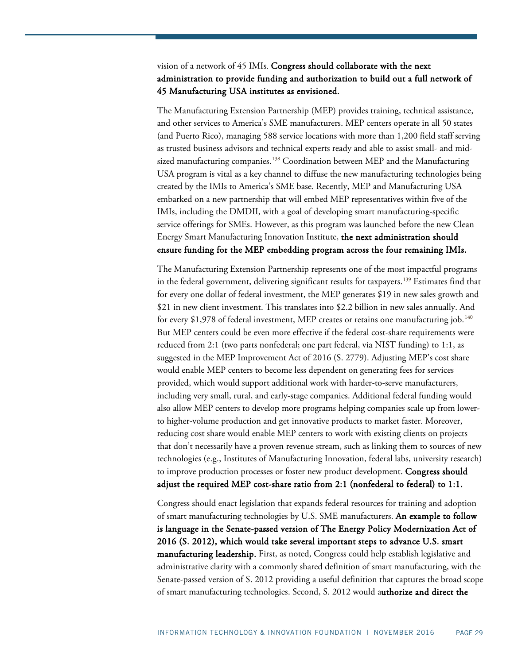# vision of a network of 45 IMIs. Congress should collaborate with the next administration to provide funding and authorization to build out a full network of 45 Manufacturing USA institutes as envisioned.

The Manufacturing Extension Partnership (MEP) provides training, technical assistance, and other services to America's SME manufacturers. MEP centers operate in all 50 states (and Puerto Rico), managing 588 service locations with more than 1,200 field staff serving as trusted business advisors and technical experts ready and able to assist small- and mid-sized manufacturing companies.<sup>[138](#page-41-3)</sup> Coordination between MEP and the Manufacturing USA program is vital as a key channel to diffuse the new manufacturing technologies being created by the IMIs to America's SME base. Recently, MEP and Manufacturing USA embarked on a new partnership that will embed MEP representatives within five of the IMIs, including the DMDII, with a goal of developing smart manufacturing-specific service offerings for SMEs. However, as this program was launched before the new Clean Energy Smart Manufacturing Innovation Institute, the next administration should ensure funding for the MEP embedding program across the four remaining IMIs.

The Manufacturing Extension Partnership represents one of the most impactful programs in the federal government, delivering significant results for taxpayers.[139](#page-41-4) Estimates find that for every one dollar of federal investment, the MEP generates \$19 in new sales growth and \$21 in new client investment. This translates into \$2.2 billion in new sales annually. And for every \$1,978 of federal investment, MEP creates or retains one manufacturing job.<sup>[140](#page-41-5)</sup> But MEP centers could be even more effective if the federal cost-share requirements were reduced from 2:1 (two parts nonfederal; one part federal, via NIST funding) to 1:1, as suggested in the MEP Improvement Act of 2016 (S. 2779). Adjusting MEP's cost share would enable MEP centers to become less dependent on generating fees for services provided, which would support additional work with harder-to-serve manufacturers, including very small, rural, and early-stage companies. Additional federal funding would also allow MEP centers to develop more programs helping companies scale up from lowerto higher-volume production and get innovative products to market faster. Moreover, reducing cost share would enable MEP centers to work with existing clients on projects that don't necessarily have a proven revenue stream, such as linking them to sources of new technologies (e.g., Institutes of Manufacturing Innovation, federal labs, university research) to improve production processes or foster new product development. Congress should adjust the required MEP cost-share ratio from 2:1 (nonfederal to federal) to 1:1.

Congress should enact legislation that expands federal resources for training and adoption of smart manufacturing technologies by U.S. SME manufacturers. An example to follow is language in the Senate-passed version of The Energy Policy Modernization Act of 2016 (S. 2012), which would take several important steps to advance U.S. smart manufacturing leadership. First, as noted, Congress could help establish legislative and administrative clarity with a commonly shared definition of smart manufacturing, with the Senate-passed version of S. 2012 providing a useful definition that captures the broad scope of smart manufacturing technologies. Second, S. 2012 would authorize and direct the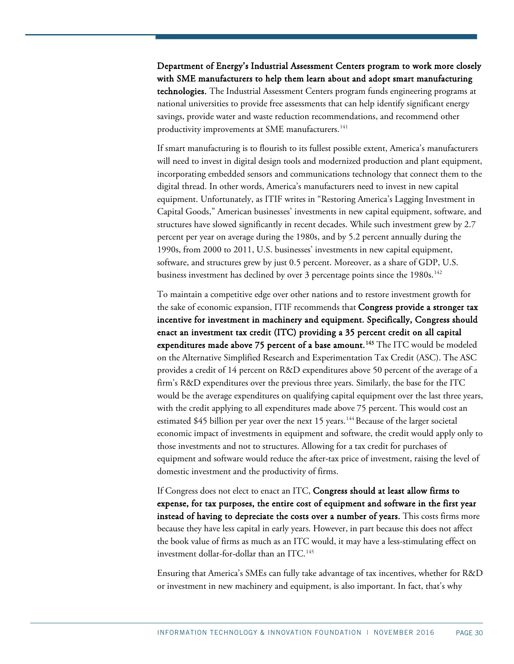Department of Energy's Industrial Assessment Centers program to work more closely with SME manufacturers to help them learn about and adopt smart manufacturing technologies. The Industrial Assessment Centers program funds engineering programs at national universities to provide free assessments that can help identify significant energy savings, provide water and waste reduction recommendations, and recommend other productivity improvements at SME manufacturers. [141](#page-41-6)

If smart manufacturing is to flourish to its fullest possible extent, America's manufacturers will need to invest in digital design tools and modernized production and plant equipment, incorporating embedded sensors and communications technology that connect them to the digital thread. In other words, America's manufacturers need to invest in new capital equipment. Unfortunately, as ITIF writes in "Restoring America's Lagging Investment in Capital Goods," American businesses' investments in new capital equipment, software, and structures have slowed significantly in recent decades. While such investment grew by 2.7 percent per year on average during the 1980s, and by 5.2 percent annually during the 1990s, from 2000 to 2011, U.S. businesses' investments in new capital equipment, software, and structures grew by just 0.5 percent. Moreover, as a share of GDP, U.S. business investment has declined by over 3 percentage points since the  $1980$ s.  $^{142}$  $^{142}$  $^{142}$ 

To maintain a competitive edge over other nations and to restore investment growth for the sake of economic expansion, ITIF recommends that Congress provide a stronger tax incentive for investment in machinery and equipment. Specifically, Congress should enact an investment tax credit (ITC) providing a 35 percent credit on all capital expenditures made above 75 percent of a base amount.<sup>[143](#page-41-8)</sup> The ITC would be modeled on the Alternative Simplified Research and Experimentation Tax Credit (ASC). The ASC provides a credit of 14 percent on R&D expenditures above 50 percent of the average of a firm's R&D expenditures over the previous three years. Similarly, the base for the ITC would be the average expenditures on qualifying capital equipment over the last three years, with the credit applying to all expenditures made above 75 percent. This would cost an estimated \$45 billion per year over the next 15 years.<sup>144</sup> Because of the larger societal economic impact of investments in equipment and software, the credit would apply only to those investments and not to structures. Allowing for a tax credit for purchases of equipment and software would reduce the after-tax price of investment, raising the level of domestic investment and the productivity of firms.

If Congress does not elect to enact an ITC, Congress should at least allow firms to expense, for tax purposes, the entire cost of equipment and software in the first year instead of having to depreciate the costs over a number of years. This costs firms more because they have less capital in early years. However, in part because this does not affect the book value of firms as much as an ITC would, it may have a less-stimulating effect on investment dollar-for-dollar than an ITC.<sup>[145](#page-41-10)</sup>

Ensuring that America's SMEs can fully take advantage of tax incentives, whether for R&D or investment in new machinery and equipment, is also important. In fact, that's why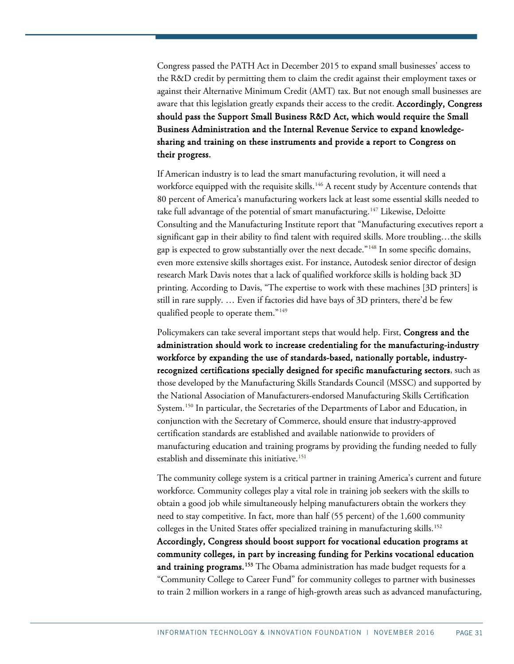Congress passed the PATH Act in December 2015 to expand small businesses' access to the R&D credit by permitting them to claim the credit against their employment taxes or against their Alternative Minimum Credit (AMT) tax. But not enough small businesses are aware that this legislation greatly expands their access to the credit. Accordingly, Congress should pass the Support Small Business R&D Act, which would require the Small Business Administration and the Internal Revenue Service to expand knowledgesharing and training on these instruments and provide a report to Congress on their progress.

If American industry is to lead the smart manufacturing revolution, it will need a workforce equipped with the requisite skills.<sup>[146](#page-41-11)</sup> A recent study by Accenture contends that 80 percent of America's manufacturing workers lack at least some essential skills needed to take full advantage of the potential of smart manufacturing.<sup>[147](#page-41-12)</sup> Likewise, Deloitte Consulting and the Manufacturing Institute report that "Manufacturing executives report a significant gap in their ability to find talent with required skills. More troubling…the skills gap is expected to grow substantially over the next decade."[148](#page-41-13) In some specific domains, even more extensive skills shortages exist. For instance, Autodesk senior director of design research Mark Davis notes that a lack of qualified workforce skills is holding back 3D printing. According to Davis, "The expertise to work with these machines [3D printers] is still in rare supply. … Even if factories did have bays of 3D printers, there'd be few qualified people to operate them."<sup>[149](#page-41-14)</sup>

Policymakers can take several important steps that would help. First, Congress and the administration should work to increase credentialing for the manufacturing-industry workforce by expanding the use of standards-based, nationally portable, industryrecognized certifications specially designed for specific manufacturing sectors, such as those developed by the Manufacturing Skills Standards Council (MSSC) and supported by the National Association of Manufacturers-endorsed Manufacturing Skills Certification System.<sup>[150](#page-41-15)</sup> In particular, the Secretaries of the Departments of Labor and Education, in conjunction with the Secretary of Commerce, should ensure that industry-approved certification standards are established and available nationwide to providers of manufacturing education and training programs by providing the funding needed to fully establish and disseminate this initiative.<sup>151</sup>

The community college system is a critical partner in training America's current and future workforce. Community colleges play a vital role in training job seekers with the skills to obtain a good job while simultaneously helping manufacturers obtain the workers they need to stay competitive. In fact, more than half (55 percent) of the 1,600 community colleges in the United States offer specialized training in manufacturing skills.<sup>[152](#page-42-1)</sup>

Accordingly, Congress should boost support for vocational education programs at community colleges, in part by increasing funding for Perkins vocational education and training programs.<sup>[153](#page-42-2)</sup> The Obama administration has made budget requests for a "Community College to Career Fund" for community colleges to partner with businesses to train 2 million workers in a range of high-growth areas such as advanced manufacturing,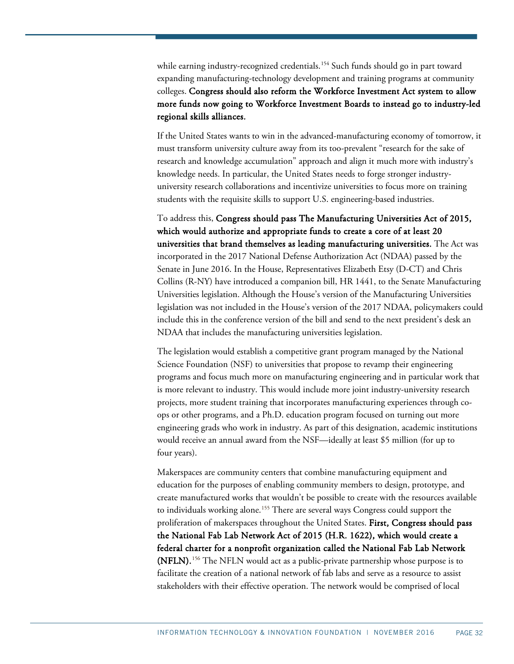while earning industry-recognized credentials.<sup>154</sup> Such funds should go in part toward expanding manufacturing-technology development and training programs at community colleges. Congress should also reform the Workforce Investment Act system to allow more funds now going to Workforce Investment Boards to instead go to industry-led regional skills alliances.

If the United States wants to win in the advanced-manufacturing economy of tomorrow, it must transform university culture away from its too-prevalent "research for the sake of research and knowledge accumulation" approach and align it much more with industry's knowledge needs. In particular, the United States needs to forge stronger industryuniversity research collaborations and incentivize universities to focus more on training students with the requisite skills to support U.S. engineering-based industries.

To address this, Congress should pass The Manufacturing Universities Act of 2015, which would authorize and appropriate funds to create a core of at least 20 universities that brand themselves as leading manufacturing universities. The Act was incorporated in the 2017 National Defense Authorization Act (NDAA) passed by the Senate in June 2016. In the House, Representatives Elizabeth Etsy (D-CT) and Chris Collins (R-NY) have introduced a companion bill, HR 1441, to the Senate Manufacturing Universities legislation. Although the House's version of the Manufacturing Universities legislation was not included in the House's version of the 2017 NDAA, policymakers could include this in the conference version of the bill and send to the next president's desk an NDAA that includes the manufacturing universities legislation.

The legislation would establish a competitive grant program managed by the National Science Foundation (NSF) to universities that propose to revamp their engineering programs and focus much more on manufacturing engineering and in particular work that is more relevant to industry. This would include more joint industry-university research projects, more student training that incorporates manufacturing experiences through coops or other programs, and a Ph.D. education program focused on turning out more engineering grads who work in industry. As part of this designation, academic institutions would receive an annual award from the NSF—ideally at least \$5 million (for up to four years).

Makerspaces are community centers that combine manufacturing equipment and education for the purposes of enabling community members to design, prototype, and create manufactured works that wouldn't be possible to create with the resources available to individuals working alone.<sup>[155](#page-42-4)</sup> There are several ways Congress could support the proliferation of makerspaces throughout the United States. First, Congress should pass the National Fab Lab Network Act of 2015 (H.R. 1622), which would create a federal charter for a nonprofit organization called the National Fab Lab Network (NFLN).[156](#page-42-5) The NFLN would act as a public-private partnership whose purpose is to facilitate the creation of a national network of fab labs and serve as a resource to assist stakeholders with their effective operation. The network would be comprised of local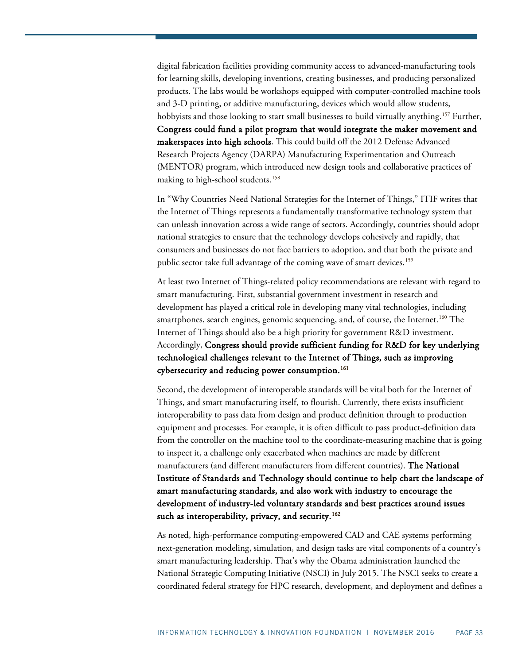digital fabrication facilities providing community access to advanced-manufacturing tools for learning skills, developing inventions, creating businesses, and producing personalized products. The labs would be workshops equipped with computer-controlled machine tools and 3-D printing, or additive manufacturing, devices which would allow students, hobbyists and those looking to start small businesses to build virtually anything. [157](#page-42-6) Further, Congress could fund a pilot program that would integrate the maker movement and makerspaces into high schools. This could build off the 2012 Defense Advanced Research Projects Agency (DARPA) Manufacturing Experimentation and Outreach (MENTOR) program, which introduced new design tools and collaborative practices of making to high-school students.<sup>[158](#page-42-7)</sup>

In "Why Countries Need National Strategies for the Internet of Things," ITIF writes that the Internet of Things represents a fundamentally transformative technology system that can unleash innovation across a wide range of sectors. Accordingly, countries should adopt national strategies to ensure that the technology develops cohesively and rapidly, that consumers and businesses do not face barriers to adoption, and that both the private and public sector take full advantage of the coming wave of smart devices.<sup>[159](#page-42-8)</sup>

At least two Internet of Things-related policy recommendations are relevant with regard to smart manufacturing. First, substantial government investment in research and development has played a critical role in developing many vital technologies, including smartphones, search engines, genomic sequencing, and, of course, the Internet.<sup>[160](#page-42-9)</sup> The Internet of Things should also be a high priority for government R&D investment. Accordingly, Congress should provide sufficient funding for R&D for key underlying technological challenges relevant to the Internet of Things, such as improving cybersecurity and reducing power consumption.<sup>161</sup>

Second, the development of interoperable standards will be vital both for the Internet of Things, and smart manufacturing itself, to flourish. Currently, there exists insufficient interoperability to pass data from design and product definition through to production equipment and processes. For example, it is often difficult to pass product-definition data from the controller on the machine tool to the coordinate-measuring machine that is going to inspect it, a challenge only exacerbated when machines are made by different manufacturers (and different manufacturers from different countries). The National Institute of Standards and Technology should continue to help chart the landscape of smart manufacturing standards, and also work with industry to encourage the development of industry-led voluntary standards and best practices around issues such as interoperability, privacy, and security.<sup>162</sup>

As noted, high-performance computing-empowered CAD and CAE systems performing next-generation modeling, simulation, and design tasks are vital components of a country's smart manufacturing leadership. That's why the Obama administration launched the National Strategic Computing Initiative (NSCI) in July 2015. The NSCI seeks to create a coordinated federal strategy for HPC research, development, and deployment and defines a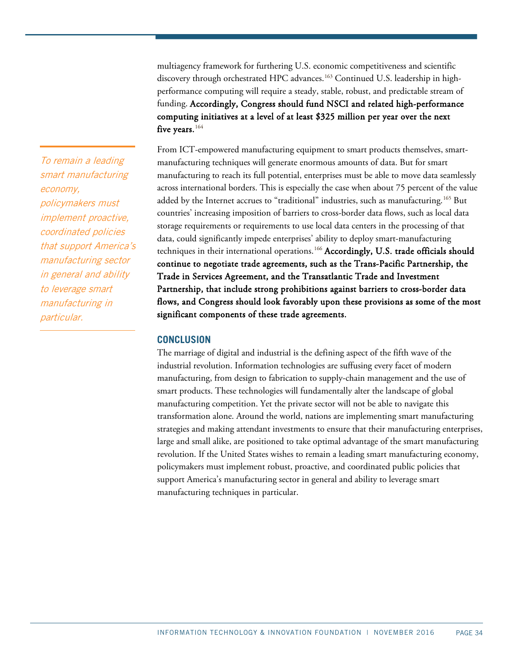multiagency framework for furthering U.S. economic competitiveness and scientific discovery through orchestrated HPC advances.<sup>[163](#page-42-12)</sup> Continued U.S. leadership in highperformance computing will require a steady, stable, robust, and predictable stream of funding. Accordingly, Congress should fund NSCI and related high-performance computing initiatives at a level of at least \$325 million per year over the next five years. $164$ 

From ICT-empowered manufacturing equipment to smart products themselves, smartmanufacturing techniques will generate enormous amounts of data. But for smart manufacturing to reach its full potential, enterprises must be able to move data seamlessly across international borders. This is especially the case when about 75 percent of the value added by the Internet accrues to "traditional" industries, such as manufacturing.<sup>[165](#page-42-14)</sup> But countries' increasing imposition of barriers to cross-border data flows, such as local data storage requirements or requirements to use local data centers in the processing of that data, could significantly impede enterprises' ability to deploy smart-manufacturing techniques in their international operations.<sup>[166](#page-42-15)</sup> Accordingly, U.S. trade officials should continue to negotiate trade agreements, such as the Trans-Pacific Partnership, the Trade in Services Agreement, and the Transatlantic Trade and Investment Partnership, that include strong prohibitions against barriers to cross-border data flows, and Congress should look favorably upon these provisions as some of the most significant components of these trade agreements.

## **CONCLUSION**

The marriage of digital and industrial is the defining aspect of the fifth wave of the industrial revolution. Information technologies are suffusing every facet of modern manufacturing, from design to fabrication to supply-chain management and the use of smart products. These technologies will fundamentally alter the landscape of global manufacturing competition. Yet the private sector will not be able to navigate this transformation alone. Around the world, nations are implementing smart manufacturing strategies and making attendant investments to ensure that their manufacturing enterprises, large and small alike, are positioned to take optimal advantage of the smart manufacturing revolution. If the United States wishes to remain a leading smart manufacturing economy, policymakers must implement robust, proactive, and coordinated public policies that support America's manufacturing sector in general and ability to leverage smart manufacturing techniques in particular.

To remain a leading smart manufacturing economy, policymakers must implement proactive, coordinated policies that support America's manufacturing sector in general and ability to leverage smart manufacturing in particular.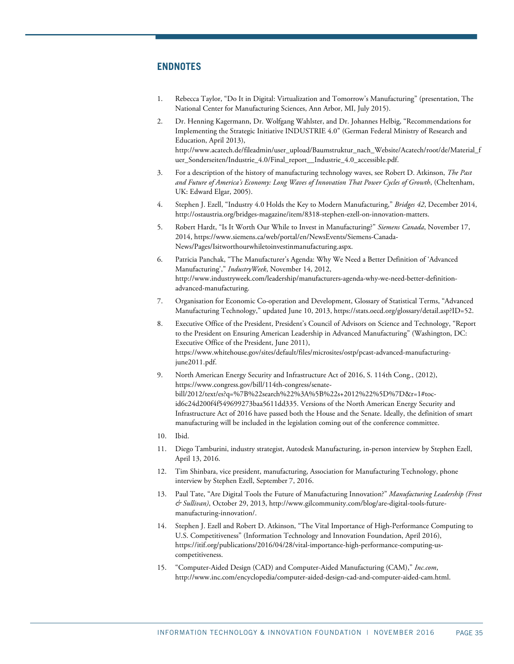# **ENDNOTES**

- <span id="page-34-0"></span>1. Rebecca Taylor, "Do It in Digital: Virtualization and Tomorrow's Manufacturing" (presentation, The National Center for Manufacturing Sciences, Ann Arbor, MI, July 2015).
- <span id="page-34-1"></span>2. Dr. Henning Kagermann, Dr. Wolfgang Wahlster, and Dr. Johannes Helbig, "Recommendations for Implementing the Strategic Initiative INDUSTRIE 4.0" (German Federal Ministry of Research and Education, April 2013), http://www.acatech.de/fileadmin/user\_upload/Baumstruktur\_nach\_Website/Acatech/root/de/Material\_f

uer\_Sonderseiten/Industrie\_4.0/Final\_report\_\_Industrie\_4.0\_accessible.pdf.

- <span id="page-34-2"></span>3. For a description of the history of manufacturing technology waves, see Robert D. Atkinson, *The Past and Future of America's Economy: Long Waves of Innovation That Power Cycles of Growth*, (Cheltenham, UK: Edward Elgar, 2005).
- <span id="page-34-3"></span>4. Stephen J. Ezell, "Industry 4.0 Holds the Key to Modern Manufacturing," *Bridges 42*, December 2014, http://ostaustria.org/bridges-magazine/item/8318-stephen-ezell-on-innovation-matters.
- <span id="page-34-4"></span>5. Robert Hardt, "Is It Worth Our While to Invest in Manufacturing?" *Siemens Canada*, November 17, 2014, https://www.siemens.ca/web/portal/en/NewsEvents/Siemens-Canada-News/Pages/Isitworthourwhiletoinvestinmanufacturing.aspx.
- <span id="page-34-5"></span>6. Patricia Panchak, "The Manufacturer's Agenda: Why We Need a Better Definition of 'Advanced Manufacturing'," *IndustryWeek*, November 14, 2012, http://www.industryweek.com/leadership/manufacturers-agenda-why-we-need-better-definitionadvanced-manufacturing.
- <span id="page-34-6"></span>7. Organisation for Economic Co-operation and Development, Glossary of Statistical Terms, "Advanced Manufacturing Technology," updated June 10, 2013, https://stats.oecd.org/glossary/detail.asp?ID=52.
- <span id="page-34-7"></span>8. Executive Office of the President, President's Council of Advisors on Science and Technology, "Report to the President on Ensuring American Leadership in Advanced Manufacturing" (Washington, DC: Executive Office of the President, June 2011), https://www.whitehouse.gov/sites/default/files/microsites/ostp/pcast-advanced-manufacturingjune2011.pdf.
- <span id="page-34-8"></span>9. North American Energy Security and Infrastructure Act of 2016, S. 114th Cong., (2012), [https://www.congress.gov/bill/114th-congress/senate](https://www.congress.gov/bill/114th-congress/senate-bill/2012/text/es?q=%7B%22search%22%3A%5B%22s+2012%22%5D%7D&r=1#toc-id6c24d200f4f549699273baa5611dd335)[bill/2012/text/es?q=%7B%22search%22%3A%5B%22s+2012%22%5D%7D&r=1#toc](https://www.congress.gov/bill/114th-congress/senate-bill/2012/text/es?q=%7B%22search%22%3A%5B%22s+2012%22%5D%7D&r=1#toc-id6c24d200f4f549699273baa5611dd335)[id6c24d200f4f549699273baa5611dd335.](https://www.congress.gov/bill/114th-congress/senate-bill/2012/text/es?q=%7B%22search%22%3A%5B%22s+2012%22%5D%7D&r=1#toc-id6c24d200f4f549699273baa5611dd335) Versions of the North American Energy Security and Infrastructure Act of 2016 have passed both the House and the Senate. Ideally, the definition of smart manufacturing will be included in the legislation coming out of the conference committee.
- <span id="page-34-10"></span><span id="page-34-9"></span>10. Ibid.
- 11. Diego Tamburini, industry strategist, Autodesk Manufacturing, in-person interview by Stephen Ezell, April 13, 2016.
- <span id="page-34-11"></span>12. Tim Shinbara, vice president, manufacturing, Association for Manufacturing Technology, phone interview by Stephen Ezell, September 7, 2016.
- <span id="page-34-12"></span>13. Paul Tate, "Are Digital Tools the Future of Manufacturing Innovation?" *Manufacturing Leadership (Frost & Sullivan)*, October 29, 2013, http://www.gilcommunity.com/blog/are-digital-tools-futuremanufacturing-innovation/.
- <span id="page-34-13"></span>14. Stephen J. Ezell and Robert D. Atkinson, "The Vital Importance of High-Performance Computing to U.S. Competitiveness" (Information Technology and Innovation Foundation, April 2016), https://itif.org/publications/2016/04/28/vital-importance-high-performance-computing-uscompetitiveness.
- <span id="page-34-14"></span>15. "Computer-Aided Design (CAD) and Computer-Aided Manufacturing (CAM)," *Inc.com*, http://www.inc.com/encyclopedia/computer-aided-design-cad-and-computer-aided-cam.html.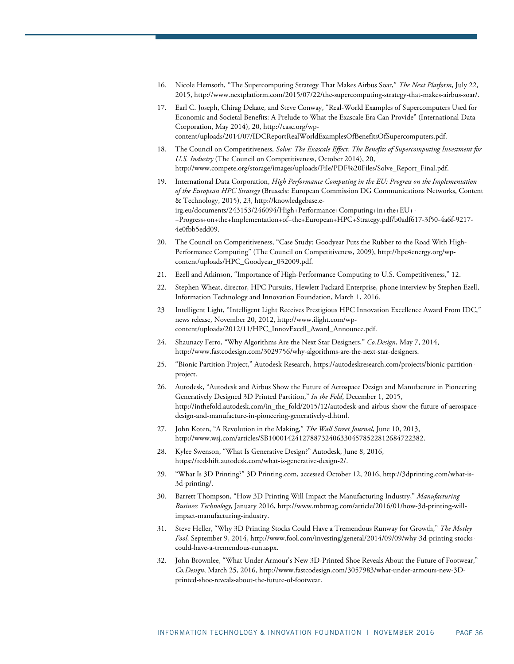- <span id="page-35-0"></span>16. Nicole Hemsoth, "The Supercomputing Strategy That Makes Airbus Soar," *The Next Platform*, July 22, 2015, http://www.nextplatform.com/2015/07/22/the-supercomputing-strategy-that-makes-airbus-soar/.
- <span id="page-35-1"></span>17. Earl C. Joseph, Chirag Dekate, and Steve Conway, "Real-World Examples of Supercomputers Used for Economic and Societal Benefits: A Prelude to What the Exascale Era Can Provide" (International Data Corporation, May 2014), 20, http://casc.org/wpcontent/uploads/2014/07/IDCReportRealWorldExamplesOfBenefitsOfSupercomputers.pdf.
- <span id="page-35-2"></span>18. The Council on Competitiveness*, Solve: The Exascale Effect: The Benefits of Supercomputing Investment for U.S. Industry* (The Council on Competitiveness, October 2014), 20, http://www.compete.org/storage/images/uploads/File/PDF%20Files/Solve\_Report\_Final.pdf.
- <span id="page-35-3"></span>19. International Data Corporation, *High Performance Computing in the EU: Progress on the Implementation of the European HPC Strategy* (Brussels: European Commission DG Communications Networks, Content & Technology, 2015), 23, http://knowledgebase.eirg.eu/documents/243153/246094/High+Performance+Computing+in+the+EU+- +Progress+on+the+Implementation+of+the+European+HPC+Strategy.pdf/b0adf617-3f50-4a6f-9217- 4e0fbb5edd09.
- <span id="page-35-4"></span>20. The Council on Competitiveness, "Case Study: Goodyear Puts the Rubber to the Road With High-Performance Computing" (The Council on Competitiveness, 2009), http://hpc4energy.org/wpcontent/uploads/HPC\_Goodyear\_032009.pdf.
- <span id="page-35-6"></span><span id="page-35-5"></span>21. Ezell and Atkinson, "Importance of High-Performance Computing to U.S. Competitiveness," 12.
- 22. Stephen Wheat, director, HPC Pursuits, Hewlett Packard Enterprise, phone interview by Stephen Ezell, Information Technology and Innovation Foundation, March 1, 2016.
- <span id="page-35-7"></span>23 Intelligent Light, "Intelligent Light Receives Prestigious HPC Innovation Excellence Award From IDC," news release, November 20, 2012, http://www.ilight.com/wpcontent/uploads/2012/11/HPC\_InnovExcell\_Award\_Announce.pdf.
- <span id="page-35-8"></span>24. Shaunacy Ferro, "Why Algorithms Are the Next Star Designers," *Co.Design*, May 7, 2014, http://www.fastcodesign.com/3029756/why-algorithms-are-the-next-star-designers.
- <span id="page-35-9"></span>25. "Bionic Partition Project," Autodesk Research, https://autodeskresearch.com/projects/bionic-partitionproject.
- <span id="page-35-10"></span>26. Autodesk, "Autodesk and Airbus Show the Future of Aerospace Design and Manufacture in Pioneering Generatively Designed 3D Printed Partition," *In the Fold*, December 1, 2015, http://inthefold.autodesk.com/in\_the\_fold/2015/12/autodesk-and-airbus-show-the-future-of-aerospacedesign-and-manufacture-in-pioneering-generatively-d.html.
- <span id="page-35-11"></span>27. John Koten, "A Revolution in the Making," *The Wall Street Journal*, June 10, 2013, http://www.wsj.com/articles/SB10001424127887324063304578522812684722382.
- <span id="page-35-12"></span>28. Kylee Swenson, "What Is Generative Design?" Autodesk, June 8, 2016, https://redshift.autodesk.com/what-is-generative-design-2/.
- <span id="page-35-13"></span>29. "What Is 3D Printing?" 3D Printing.com, accessed October 12, 2016, http://3dprinting.com/what-is-3d-printing/.
- <span id="page-35-14"></span>30. Barrett Thompson, "How 3D Printing Will Impact the Manufacturing Industry," *Manufacturing Business Technology*, January 2016, http://www.mbtmag.com/article/2016/01/how-3d-printing-willimpact-manufacturing-industry.
- <span id="page-35-15"></span>31. Steve Heller, "Why 3D Printing Stocks Could Have a Tremendous Runway for Growth," *The Motley Fool*, September 9, 2014, http://www.fool.com/investing/general/2014/09/09/why-3d-printing-stockscould-have-a-tremendous-run.aspx.
- <span id="page-35-16"></span>32. John Brownlee, "What Under Armour's New 3D-Printed Shoe Reveals About the Future of Footwear," *Co.Design*, March 25, 2016, http://www.fastcodesign.com/3057983/what-under-armours-new-3Dprinted-shoe-reveals-about-the-future-of-footwear.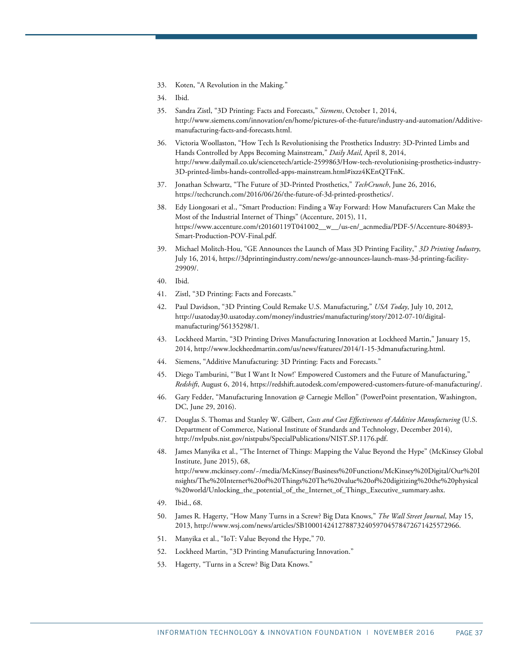- <span id="page-36-0"></span>33. Koten, "A Revolution in the Making."
- <span id="page-36-1"></span>34. Ibid.
- <span id="page-36-2"></span>35. Sandra Zistl, "3D Printing: Facts and Forecasts," *Siemens*, October 1, 2014, http://www.siemens.com/innovation/en/home/pictures-of-the-future/industry-and-automation/Additivemanufacturing-facts-and-forecasts.html.
- <span id="page-36-3"></span>36. Victoria Woollaston, "How Tech Is Revolutionising the Prosthetics Industry: 3D-Printed Limbs and Hands Controlled by Apps Becoming Mainstream," *Daily Mail*, April 8, 2014, http://www.dailymail.co.uk/sciencetech/article-2599863/How-tech-revolutionising-prosthetics-industry-3D-printed-limbs-hands-controlled-apps-mainstream.html#ixzz4KEnQTFnK.
- <span id="page-36-4"></span>37. Jonathan Schwartz, "The Future of 3D-Printed Prosthetics," *TechCrunch*, June 26, 2016, https://techcrunch.com/2016/06/26/the-future-of-3d-printed-prosthetics/.
- <span id="page-36-5"></span>38. Edy Liongosari et al., "Smart Production: Finding a Way Forward: How Manufacturers Can Make the Most of the Industrial Internet of Things" (Accenture, 2015), 11, https://www.accenture.com/t20160119T041002\_\_w\_\_/us-en/\_acnmedia/PDF-5/Accenture-804893- Smart-Production-POV-Final.pdf.
- <span id="page-36-6"></span>39. Michael Molitch-Hou, "GE Announces the Launch of Mass 3D Printing Facility," *3D Printing Industry*, July 16, 2014, https://3dprintingindustry.com/news/ge-announces-launch-mass-3d-printing-facility-29909/.
- <span id="page-36-7"></span>40. Ibid.
- <span id="page-36-8"></span>41. Zistl, "3D Printing: Facts and Forecasts."
- <span id="page-36-9"></span>42. Paul Davidson, "3D Printing Could Remake U.S. Manufacturing," *USA Today*, July 10, 2012, http://usatoday30.usatoday.com/money/industries/manufacturing/story/2012-07-10/digitalmanufacturing/56135298/1.
- <span id="page-36-10"></span>43. Lockheed Martin, "3D Printing Drives Manufacturing Innovation at Lockheed Martin," January 15, 2014, http://www.lockheedmartin.com/us/news/features/2014/1-15-3dmanufacturing.html.
- <span id="page-36-11"></span>44. Siemens, "Additive Manufacturing: 3D Printing: Facts and Forecasts."
- <span id="page-36-12"></span>45. Diego Tamburini, "'But I Want It Now!' Empowered Customers and the Future of Manufacturing," *Redshift*, August 6, 2014, https://redshift.autodesk.com/empowered-customers-future-of-manufacturing/.
- <span id="page-36-13"></span>46. Gary Fedder, "Manufacturing Innovation @ Carnegie Mellon" (PowerPoint presentation, Washington, DC, June 29, 2016).
- <span id="page-36-14"></span>47. Douglas S. Thomas and Stanley W. Gilbert, *Costs and Cost Effectiveness of Additive Manufacturing* (U.S. Department of Commerce, National Institute of Standards and Technology, December 2014), http://nvlpubs.nist.gov/nistpubs/SpecialPublications/NIST.SP.1176.pdf.
- <span id="page-36-15"></span>48. James Manyika et al., "The Internet of Things: Mapping the Value Beyond the Hype" (McKinsey Global Institute, June 2015), 68, http://www.mckinsey.com/~/media/McKinsey/Business%20Functions/McKinsey%20Digital/Our%20I nsights/The%20Internet%20of%20Things%20The%20value%20of%20digitizing%20the%20physical %20world/Unlocking\_the\_potential\_of\_the\_Internet\_of\_Things\_Executive\_summary.ashx.
- <span id="page-36-17"></span><span id="page-36-16"></span>49. Ibid., 68.
- 50. James R. Hagerty, "How Many Turns in a Screw? Big Data Knows," *The Wall Street Journal*, May 15, 2013, http://www.wsj.com/news/articles/SB10001424127887324059704578472671425572966.
- <span id="page-36-18"></span>51. Manyika et al., "IoT: Value Beyond the Hype," 70.
- <span id="page-36-19"></span>52. Lockheed Martin, "3D Printing Manufacturing Innovation."
- <span id="page-36-20"></span>53. Hagerty, "Turns in a Screw? Big Data Knows."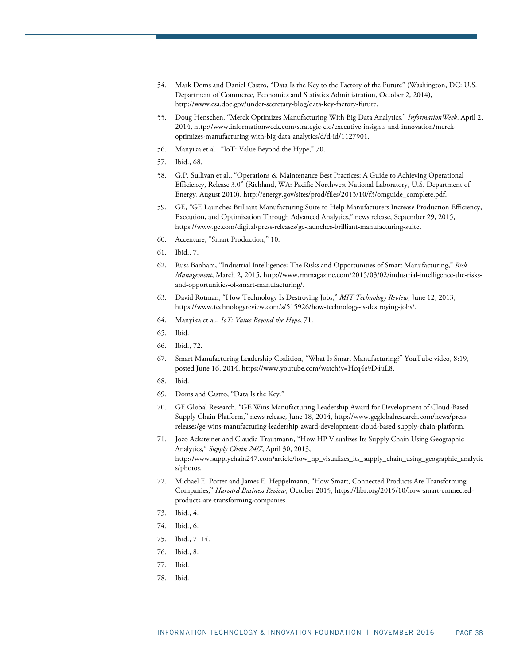- <span id="page-37-0"></span>54. Mark Doms and Daniel Castro, "Data Is the Key to the Factory of the Future" (Washington, DC: U.S. Department of Commerce, Economics and Statistics Administration, October 2, 2014), http://www.esa.doc.gov/under-secretary-blog/data-key-factory-future.
- <span id="page-37-1"></span>55. Doug Henschen, "Merck Optimizes Manufacturing With Big Data Analytics," *InformationWeek*, April 2, 2014, http://www.informationweek.com/strategic-cio/executive-insights-and-innovation/merckoptimizes-manufacturing-with-big-data-analytics/d/d-id/1127901.
- <span id="page-37-2"></span>56. Manyika et al., "IoT: Value Beyond the Hype," 70.
- <span id="page-37-3"></span>57. Ibid., 68.
- <span id="page-37-4"></span>58. G.P. Sullivan et al., "Operations & Maintenance Best Practices: A Guide to Achieving Operational Efficiency, Release 3.0" (Richland, WA: Pacific Northwest National Laboratory, U.S. Department of Energy, August 2010), http://energy.gov/sites/prod/files/2013/10/f3/omguide\_complete.pdf.
- <span id="page-37-5"></span>59. GE, "GE Launches Brilliant Manufacturing Suite to Help Manufacturers Increase Production Efficiency, Execution, and Optimization Through Advanced Analytics," news release, September 29, 2015, https://www.ge.com/digital/press-releases/ge-launches-brilliant-manufacturing-suite.
- <span id="page-37-6"></span>60. Accenture, "Smart Production," 10.
- <span id="page-37-7"></span>61. Ibid., 7.
- <span id="page-37-8"></span>62. [Russ Banham,](http://www.rmmagazine.com/author/russ-banham/) "Industrial Intelligence: The Risks and Opportunities of Smart Manufacturing," *Risk Management*, March 2, 2015, http://www.rmmagazine.com/2015/03/02/industrial-intelligence-the-risksand-opportunities-of-smart-manufacturing/.
- <span id="page-37-9"></span>63. David Rotman, "How Technology Is Destroying Jobs," *MIT Technology Review*, June 12, 2013, https://www.technologyreview.com/s/515926/how-technology-is-destroying-jobs/.
- <span id="page-37-10"></span>64. Manyika et al., *IoT: Value Beyond the Hype*, 71.
- <span id="page-37-11"></span>65. Ibid.
- <span id="page-37-12"></span>66. Ibid., 72.
- <span id="page-37-13"></span>67. Smart Manufacturing Leadership Coalition, "What Is Smart Manufacturing?" YouTube video, 8:19, posted June 16, 2014, https://www.youtube.com/watch?v=Hcq4e9D4uL8.
- <span id="page-37-14"></span>68. Ibid.
- <span id="page-37-15"></span>69. Doms and Castro, "Data Is the Key."
- <span id="page-37-16"></span>70. GE Global Research, "GE Wins Manufacturing Leadership Award for Development of Cloud-Based Supply Chain Platform," news release, June 18, 2014, http://www.geglobalresearch.com/news/pressreleases/ge-wins-manufacturing-leadership-award-development-cloud-based-supply-chain-platform.
- <span id="page-37-17"></span>71. Jozo Acksteiner and Claudia Trautmann, "How HP Visualizes Its Supply Chain Using Geographic Analytics," *Supply Chain 24/7*, April 30, 2013, http://www.supplychain247.com/article/how\_hp\_visualizes\_its\_supply\_chain\_using\_geographic\_analytic s/photos.
- <span id="page-37-18"></span>72. Michael E. Porter and James E. Heppelmann, "How Smart, Connected Products Are Transforming Companies," *Harvard Business Review*, October 2015, https://hbr.org/2015/10/how-smart-connectedproducts-are-transforming-companies.
- <span id="page-37-19"></span>73. Ibid., 4.
- <span id="page-37-20"></span>74. Ibid., 6.
- 75. Ibid., 7–14.
- <span id="page-37-23"></span><span id="page-37-22"></span><span id="page-37-21"></span>76. Ibid., 8.
- 77. Ibid.
- <span id="page-37-24"></span>78. Ibid.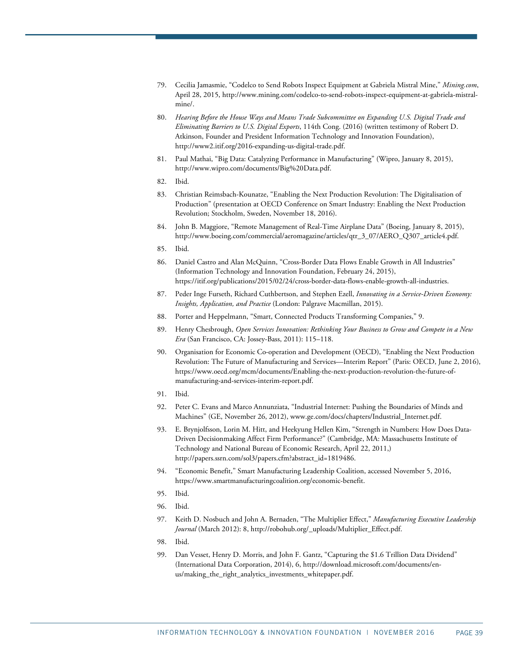- <span id="page-38-0"></span>79. Cecilia Jamasmie, "Codelco to Send Robots Inspect Equipment at Gabriela Mistral Mine," *Mining.com*, April 28, 2015, http://www.mining.com/codelco-to-send-robots-inspect-equipment-at-gabriela-mistralmine/.
- <span id="page-38-1"></span>80. *Hearing Before the House Ways and Means Trade Subcommittee on Expanding U.S. Digital Trade and Eliminating Barriers to U.S. Digital Exports*, 114th Cong. (2016) (written testimony of Robert D. Atkinson, Founder and President Information Technology and Innovation Foundation), http://www2.itif.org/2016-expanding-us-digital-trade.pdf.
- <span id="page-38-2"></span>81. Paul Mathai, "Big Data: Catalyzing Performance in Manufacturing" (Wipro, January 8, 2015), [http://www.wipro.com/documents/Big%20Data.pdf.](http://www.wipro.com/documents/Big%20Data.pdf)
- <span id="page-38-3"></span>82. Ibid.
- <span id="page-38-4"></span>83. Christian Reimsbach-Kounatze, "Enabling the Next Production Revolution: The Digitalisation of Production" (presentation at OECD Conference on Smart Industry: Enabling the Next Production Revolution; Stockholm, Sweden, November 18, 2016).
- <span id="page-38-5"></span>84. John B. Maggiore, "Remote Management of Real-Time Airplane Data" (Boeing, January 8, 2015), http://www.boeing.com/commercial/aeromagazine/articles/qtr\_3\_07/AERO\_Q307\_article4.pdf.
- <span id="page-38-6"></span>85. Ibid.
- <span id="page-38-7"></span>86. Daniel Castro and Alan McQuinn, "Cross-Border Data Flows Enable Growth in All Industries" (Information Technology and Innovation Foundation, February 24, 2015), https://itif.org/publications/2015/02/24/cross-border-data-flows-enable-growth-all-industries.
- <span id="page-38-8"></span>87. Peder Inge Furseth, Richard Cuthbertson, and Stephen Ezell, *Innovating in a Service-Driven Economy: Insights, Application, and Practice* (London: Palgrave Macmillan, 2015).
- <span id="page-38-9"></span>88. Porter and Heppelmann, "Smart, Connected Products Transforming Companies," 9.
- <span id="page-38-10"></span>89. Henry Chesbrough, *Open Services Innovation: Rethinking Your Business to Grow and Compete in a New Era* (San Francisco, CA: Jossey-Bass, 2011): 115–118.
- <span id="page-38-11"></span>90. Organisation for Economic Co-operation and Development (OECD), "Enabling the Next Production Revolution: The Future of Manufacturing and Services—Interim Report" (Paris: OECD, June 2, 2016), https://www.oecd.org/mcm/documents/Enabling-the-next-production-revolution-the-future-ofmanufacturing-and-services-interim-report.pdf.
- <span id="page-38-12"></span>91. Ibid.
- <span id="page-38-13"></span>92. Peter C. Evans and Marco Annunziata, "Industrial Internet: Pushing the Boundaries of Minds and Machines" (GE, November 26, 2012), www.ge.com/docs/chapters/Industrial\_Internet.pdf.
- <span id="page-38-14"></span>93. E. Brynjolfsson, Lorin M. Hitt, and Heekyung Hellen Kim, "Strength in Numbers: How Does Data-Driven Decisionmaking Affect Firm Performance?" (Cambridge, MA: Massachusetts Institute of Technology and National Bureau of Economic Research, April 22, 2011,) http://papers.ssrn.com/sol3/papers.cfm?abstract\_id=1819486.
- <span id="page-38-15"></span>94. "Economic Benefit," Smart Manufacturing Leadership Coalition, accessed November 5, 2016, https://www.smartmanufacturingcoalition.org/economic-benefit.
- <span id="page-38-16"></span>95. Ibid.
- <span id="page-38-17"></span>96. Ibid.
- <span id="page-38-18"></span>97. Keith D. Nosbuch and John A. Bernaden, "The Multiplier Effect," *Manufacturing Executive Leadership Journal* (March 2012): 8, http://robohub.org/\_uploads/Multiplier\_Effect.pdf.
- <span id="page-38-19"></span>98. Ibid.
- <span id="page-38-20"></span>99. Dan Vesset, Henry D. Morris, and John F. Gantz, "Capturing the \$1.6 Trillion Data Dividend" (International Data Corporation, 2014), 6, http://download.microsoft.com/documents/enus/making\_the\_right\_analytics\_investments\_whitepaper.pdf.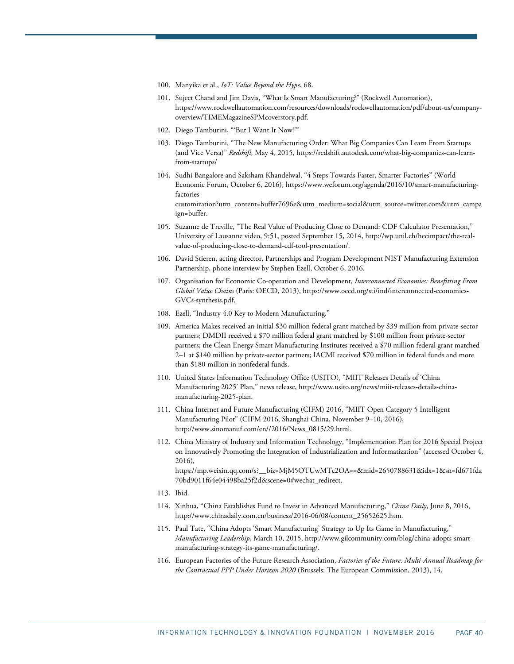- <span id="page-39-0"></span>100. Manyika et al., *IoT: Value Beyond the Hype*, 68.
- <span id="page-39-1"></span>101. Sujeet Chand and Jim Davis, "What Is Smart Manufacturing?" (Rockwell Automation), https://www.rockwellautomation.com/resources/downloads/rockwellautomation/pdf/about-us/companyoverview/TIMEMagazineSPMcoverstory.pdf.
- <span id="page-39-3"></span><span id="page-39-2"></span>102. Diego Tamburini, "'But I Want It Now!'"
- 103. Diego Tamburini, "The New Manufacturing Order: What Big Companies Can Learn From Startups (and Vice Versa)" *Redshift,* May 4, 2015, https://redshift.autodesk.com/what-big-companies-can-learnfrom-startups/
- <span id="page-39-4"></span>104. Sudhi Bangalore and Saksham Khandelwal, "4 Steps Towards Faster, Smarter Factories" (World Economic Forum, October 6, 2016), https://www.weforum.org/agenda/2016/10/smart-manufacturingfactoriescustomization?utm\_content=buffer7696e&utm\_medium=social&utm\_source=twitter.com&utm\_campa
- <span id="page-39-5"></span>ign=buffer. 105. Suzanne de Treville, "The Real Value of Producing Close to Demand: CDF Calculator Presentation,"
- University of Lausanne video, 9:51, posted September 15, 2014, http://wp.unil.ch/hecimpact/the-realvalue-of-producing-close-to-demand-cdf-tool-presentation/.
- <span id="page-39-6"></span>106. David Stieren, acting director, Partnerships and Program Development NIST Manufacturing Extension Partnership, phone interview by Stephen Ezell, October 6, 2016.
- <span id="page-39-7"></span>107. Organisation for Economic Co-operation and Development, *Interconnected Economies: Benefitting From Global Value Chains* (Paris: OECD, 2013), https://www.oecd.org/sti/ind/interconnected-economies-GVCs-synthesis.pdf.
- <span id="page-39-9"></span><span id="page-39-8"></span>108. Ezell, "Industry 4.0 Key to Modern Manufacturing."

70bd9011f64e04498ba25f2d&scene=0#wechat\_redirect.

- 109. America Makes received an initial \$30 million federal grant matched by \$39 million from private-sector partners; DMDII received a \$70 million federal grant matched by \$100 million from private-sector partners; the Clean Energy Smart Manufacturing Institutes received a \$70 million federal grant matched 2–1 at \$140 million by private-sector partners; IACMI received \$70 million in federal funds and more than \$180 million in nonfederal funds.
- <span id="page-39-10"></span>110. United States Information Technology Office (USITO), "MIIT Releases Details of 'China Manufacturing 2025' Plan," news release, http://www.usito.org/news/miit-releases-details-chinamanufacturing-2025-plan.
- <span id="page-39-11"></span>111. China Internet and Future Manufacturing (CIFM) 2016, "MIIT Open Category 5 Intelligent Manufacturing Pilot" (CIFM 2016, Shanghai China, November 9–10, 2016), http://www.sinomanuf.com/en//2016/News\_0815/29.html.
- <span id="page-39-12"></span>112. China Ministry of Industry and Information Technology, "Implementation Plan for 2016 Special Project on Innovatively Promoting the Integration of Industrialization and Informatization" (accessed October 4, 2016), https://mp.weixin.qq.com/s?\_\_biz=MjM5OTUwMTc2OA==&mid=2650788631&idx=1&sn=fd671fda
- <span id="page-39-14"></span><span id="page-39-13"></span>113. Ibid.
- 114. Xinhua, "China Establishes Fund to Invest in Advanced Manufacturing," *China Daily*, June 8, 2016, http://www.chinadaily.com.cn/business/2016-06/08/content\_25652625.htm.
- <span id="page-39-15"></span>115. Paul Tate, "China Adopts 'Smart Manufacturing' Strategy to Up Its Game in Manufacturing," *Manufacturing Leadership*, March 10, 2015, http://www.gilcommunity.com/blog/china-adopts-smartmanufacturing-strategy-its-game-manufacturing/.
- <span id="page-39-16"></span>116. European Factories of the Future Research Association, *Factories of the Future: Multi-Annual Roadmap for the Contractual PPP Under Horizon 2020* (Brussels: The European Commission, 2013), 14,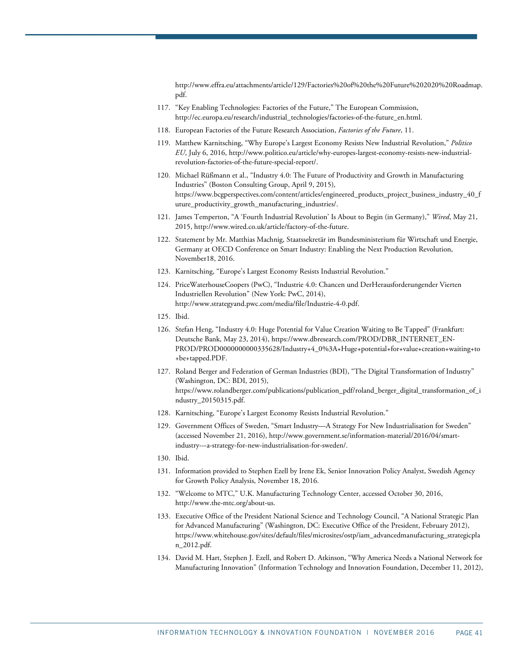http://www.effra.eu/attachments/article/129/Factories%20of%20the%20Future%202020%20Roadmap. pdf.

- <span id="page-40-0"></span>117. "Key Enabling Technologies: Factories of the Future," The European Commission, http://ec.europa.eu/research/industrial\_technologies/factories-of-the-future\_en.html.
- <span id="page-40-2"></span><span id="page-40-1"></span>118. European Factories of the Future Research Association, *Factories of the Future*, 11.
- 119. Matthew Karnitsching, "Why Europe's Largest Economy Resists New Industrial Revolution," *Politico EU*, July 6, 2016, http://www.politico.eu/article/why-europes-largest-economy-resists-new-industrialrevolution-factories-of-the-future-special-report/.
- <span id="page-40-3"></span>120. Michael Rüßmann et al., "Industry 4.0: The Future of Productivity and Growth in Manufacturing Industries" (Boston Consulting Group, April 9, 2015), https://www.bcgperspectives.com/content/articles/engineered\_products\_project\_business\_industry\_40\_f uture\_productivity\_growth\_manufacturing\_industries/.
- <span id="page-40-4"></span>121. James Temperton, "A 'Fourth Industrial Revolution' Is About to Begin (in Germany)," *Wired*, May 21, 2015, http://www.wired.co.uk/article/factory-of-the-future.
- <span id="page-40-5"></span>122. Statement by Mr. Matthias Machnig, Staatssekretär im Bundesministerium für Wirtschaft und Energie, Germany at OECD Conference on Smart Industry: Enabling the Next Production Revolution, November18, 2016.
- <span id="page-40-6"></span>123. Karnitsching, "Europe's Largest Economy Resists Industrial Revolution."
- <span id="page-40-7"></span>124. PriceWaterhouseCoopers (PwC), ["Industrie 4.0: Chancen und DerHerausforderungender Vierten](http://www.strategyand.pwc.com/global/home/what-we-think/reports-white-papers/article-display/industrie-4-0)  [Industriellen Revolution"](http://www.strategyand.pwc.com/global/home/what-we-think/reports-white-papers/article-display/industrie-4-0) (New York: PwC, 2014), http://www.strategyand.pwc.com/media/file/Industrie-4-0.pdf.
- <span id="page-40-9"></span><span id="page-40-8"></span>125. Ibid.
- 126. Stefan Heng, "Industry 4.0: Huge Potential for Value Creation Waiting to Be Tapped" (Frankfurt: Deutsche Bank, May 23, 2014), https://www.dbresearch.com/PROD/DBR\_INTERNET\_EN-PROD/PROD0000000000335628/Industry+4\_0%3A+Huge+potential+for+value+creation+waiting+to +be+tapped.PDF.
- <span id="page-40-10"></span>127. Roland Berger and Federation of German Industries (BDI), "The Digital Transformation of Industry" (Washington, DC: BDI, 2015), https://www.rolandberger.com/publications/publication\_pdf/roland\_berger\_digital\_transformation\_of\_i ndustry\_20150315.pdf.
- <span id="page-40-12"></span><span id="page-40-11"></span>128. Karnitsching, "Europe's Largest Economy Resists Industrial Revolution."
- 129. Government Offices of Sweden, "Smart Industry—A Strategy For New Industrialisation for Sweden" (accessed November 21, 2016), http://www.government.se/information-material/2016/04/smartindustry---a-strategy-for-new-industrialisation-for-sweden/.
- <span id="page-40-14"></span><span id="page-40-13"></span>130. Ibid.
- 131. Information provided to Stephen Ezell by Irene Ek, Senior Innovation Policy Analyst, Swedish Agency for Growth Policy Analysis, November 18, 2016.
- <span id="page-40-15"></span>132. "Welcome to MTC," U.K. Manufacturing Technology Center, accessed October 30, 2016, http://www.the-mtc.org/about-us.
- <span id="page-40-16"></span>133. Executive Office of the President National Science and Technology Council, "A National Strategic Plan for Advanced Manufacturing" (Washington, DC: Executive Office of the President, February 2012), https://www.whitehouse.gov/sites/default/files/microsites/ostp/iam\_advancedmanufacturing\_strategicpla n\_2012.pdf.
- <span id="page-40-17"></span>134. David M. Hart, Stephen J. Ezell, and Robert D. Atkinson, "Why America Needs a National Network for Manufacturing Innovation" (Information Technology and Innovation Foundation, December 11, 2012),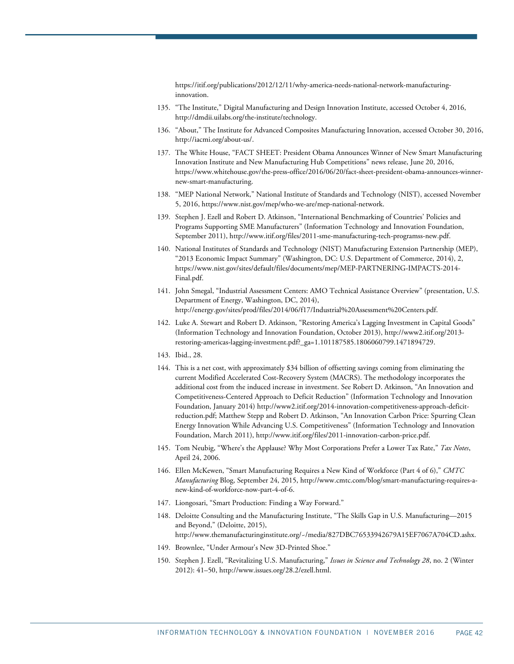https://itif.org/publications/2012/12/11/why-america-needs-national-network-manufacturinginnovation.

- 135. "The Institute," Digital Manufacturing and Design Innovation Institute, accessed October 4, 2016, http://dmdii.uilabs.org/the-institute/technology.
- <span id="page-41-2"></span><span id="page-41-1"></span><span id="page-41-0"></span>136. "About," The Institute for Advanced Composites Manufacturing Innovation, accessed October 30, 2016, http://iacmi.org/about-us/.
- 137. The White House, "FACT SHEET: President Obama Announces Winner of New Smart Manufacturing Innovation Institute and New Manufacturing Hub Competitions" news release, June 20, 2016, https://www.whitehouse.gov/the-press-office/2016/06/20/fact-sheet-president-obama-announces-winnernew-smart-manufacturing.
- <span id="page-41-3"></span>138. "MEP National Network," National Institute of Standards and Technology (NIST), accessed November 5, 2016, https://www.nist.gov/mep/who-we-are/mep-national-network.
- <span id="page-41-4"></span>139. Stephen J. Ezell and Robert D. Atkinson, "International Benchmarking of Countries' Policies and Programs Supporting SME Manufacturers" (Information Technology and Innovation Foundation, September 2011), http://www.itif.org/files/2011-sme-manufacturing-tech-programss-new.pdf.
- <span id="page-41-5"></span>140. National Institutes of Standards and Technology (NIST) Manufacturing Extension Partnership (MEP), "2013 Economic Impact Summary" (Washington, DC: U.S. Department of Commerce, 2014), 2, https://www.nist.gov/sites/default/files/documents/mep/MEP-PARTNERING-IMPACTS-2014- Final.pdf.
- <span id="page-41-6"></span>141. John Smegal, "Industrial Assessment Centers: AMO Technical Assistance Overview" (presentation, U.S. Department of Energy, Washington, DC, 2014), http://energy.gov/sites/prod/files/2014/06/f17/Industrial%20Assessment%20Centers.pdf.
- <span id="page-41-7"></span>142. Luke A. Stewart and Robert D. Atkinson, "Restoring America's Lagging Investment in Capital Goods" (Information Technology and Innovation Foundation, October 2013), http://www2.itif.org/2013 restoring-americas-lagging-investment.pdf?\_ga=1.101187585.1806060799.1471894729.
- <span id="page-41-9"></span><span id="page-41-8"></span>143. Ibid., 28.
- 144. This is a net cost, with approximately \$34 billion of offsetting savings coming from eliminating the current Modified Accelerated Cost-Recovery System (MACRS). The methodology incorporates the additional cost from the induced increase in investment. See Robert D. Atkinson, "An Innovation and Competitiveness-Centered Approach to Deficit Reduction" (Information Technology and Innovation Foundation, January 2014[\) http://www2.itif.org/2014-innovation-competitiveness-approach-deficit](http://www2.itif.org/2014-innovation-competitiveness-approach-deficit-reduction.pdf)[reduction.pdf;](http://www2.itif.org/2014-innovation-competitiveness-approach-deficit-reduction.pdf) Matthew Stepp and Robert D. Atkinson, "An Innovation Carbon Price: Spurring Clean Energy Innovation While Advancing U.S. Competitiveness" (Information Technology and Innovation Foundation, March 2011), http://www.itif.org/files/2011-innovation-carbon-price.pdf.
- <span id="page-41-10"></span>145. Tom Neubig, "Where's the Applause? Why Most Corporations Prefer a Lower Tax Rate," *Tax Notes*, April 24, 2006.
- <span id="page-41-11"></span>146. Ellen McKewen, "Smart Manufacturing Requires a New Kind of Workforce (Part 4 of 6)," *CMTC Manufacturing* Blog, September 24, 2015, http://www.cmtc.com/blog/smart-manufacturing-requires-anew-kind-of-workforce-now-part-4-of-6.
- <span id="page-41-12"></span>147. Liongosari, "Smart Production: Finding a Way Forward."
- <span id="page-41-13"></span>148. Deloitte Consulting and the Manufacturing Institute, "The Skills Gap in U.S. Manufacturing—2015 and Beyond," (Deloitte, 2015), http://www.themanufacturinginstitute.org/~/media/827DBC76533942679A15EF7067A704CD.ashx.
- <span id="page-41-14"></span>149. Brownlee, "Under Armour's New 3D-Printed Shoe."
- <span id="page-41-15"></span>150. Stephen J. Ezell, "Revitalizing U.S. Manufacturing," *Issues in Science and Technology 28*, no. 2 (Winter 2012): 41–50, http://www.issues.org/28.2/ezell.html.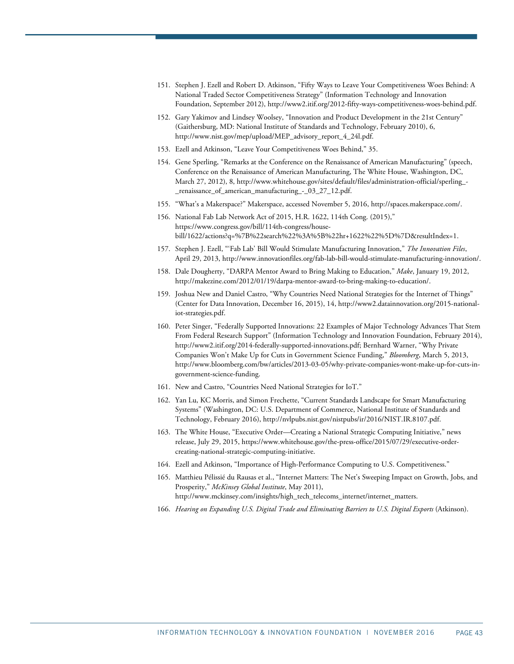- <span id="page-42-0"></span>151. Stephen J. Ezell and Robert D. Atkinson, "Fifty Ways to Leave Your Competitiveness Woes Behind: A National Traded Sector Competitiveness Strategy" (Information Technology and Innovation Foundation, September 2012), http://www2.itif.org/2012-fifty-ways-competitiveness-woes-behind.pdf.
- <span id="page-42-1"></span>152. Gary Yakimov and Lindsey Woolsey, "Innovation and Product Development in the 21st Century" (Gaithersburg, MD: National Institute of Standards and Technology, February 2010), 6, http://www.nist.gov/mep/upload/MEP\_advisory\_report\_4\_24l.pdf.
- <span id="page-42-2"></span>153. Ezell and Atkinson, "Leave Your Competitiveness Woes Behind," 35.
- <span id="page-42-3"></span>154. Gene Sperling, "Remarks at the Conference on the Renaissance of American Manufacturing" (speech, Conference on the Renaissance of American Manufacturing, The White House, Washington, DC, March 27, 2012), 8, http://www.whitehouse.gov/sites/default/files/administration-official/sperling -\_renaissance\_of\_american\_manufacturing\_-\_03\_27\_12.pdf.
- <span id="page-42-4"></span>155. "What's a Makerspace?" Makerspace, accessed November 5, 2016, http://spaces.makerspace.com/.
- <span id="page-42-5"></span>156. National Fab Lab Network Act of 2015, H.R. 1622, 114th Cong. (2015)," https://www.congress.gov/bill/114th-congress/housebill/1622/actions?q=%7B%22search%22%3A%5B%22hr+1622%22%5D%7D&resultIndex=1.
- <span id="page-42-6"></span>157. Stephen J. Ezell, "'Fab Lab' Bill Would Stimulate Manufacturing Innovation," *The Innovation Files*, April 29, 2013, http://www.innovationfiles.org/fab-lab-bill-would-stimulate-manufacturing-innovation/.
- <span id="page-42-7"></span>158. Dale Dougherty, "DARPA Mentor Award to Bring Making to Education," *Make*, January 19, 2012, http://makezine.com/2012/01/19/darpa-mentor-award-to-bring-making-to-education/.
- <span id="page-42-8"></span>159. Joshua New and Daniel Castro, "Why Countries Need National Strategies for the Internet of Things" (Center for Data Innovation, December 16, 2015), 14, http://www2.datainnovation.org/2015-nationaliot-strategies.pdf.
- <span id="page-42-9"></span>160. Peter Singer, "Federally Supported Innovations: 22 Examples of Major Technology Advances That Stem From Federal Research Support" (Information Technology and Innovation Foundation, February 2014), http://www2.itif.org/2014-federally-supported-innovations.pdf; Bernhard Warner, "Why Private Companies Won't Make Up for Cuts in Government Science Funding," *Bloomberg*, March 5, 2013, http://www.bloomberg.com/bw/articles/2013-03-05/why-private-companies-wont-make-up-for-cuts-ingovernment-science-funding.
- <span id="page-42-10"></span>161. New and Castro, "Countries Need National Strategies for IoT."
- <span id="page-42-11"></span>162. Yan Lu, KC Morris, and Simon Frechette, "Current Standards Landscape for Smart Manufacturing Systems" (Washington, DC: U.S. Department of Commerce, National Institute of Standards and Technology, February 2016), http://nvlpubs.nist.gov/nistpubs/ir/2016/NIST.IR.8107.pdf.
- <span id="page-42-12"></span>163. The White House, "Executive Order—Creating a National Strategic Computing Initiative," news release, July 29, 2015, https://www.whitehouse.gov/the-press-office/2015/07/29/executive-ordercreating-national-strategic-computing-initiative.
- <span id="page-42-13"></span>164. Ezell and Atkinson, "Importance of High-Performance Computing to U.S. Competitiveness."
- <span id="page-42-14"></span>165. Matthieu Pélissié du Rausas et al., "Internet Matters: The Net's Sweeping Impact on Growth, Jobs, and Prosperity," *McKinsey Global Institute*, May 2011), [http://www.mckinsey.com/insights/high\\_tech\\_telecoms\\_internet/internet\\_matters.](http://www.mckinsey.com/insights/high_tech_telecoms_internet/internet_matters)
- <span id="page-42-15"></span>166. *Hearing on Expanding U.S. Digital Trade and Eliminating Barriers to U.S. Digital Exports* (Atkinson).